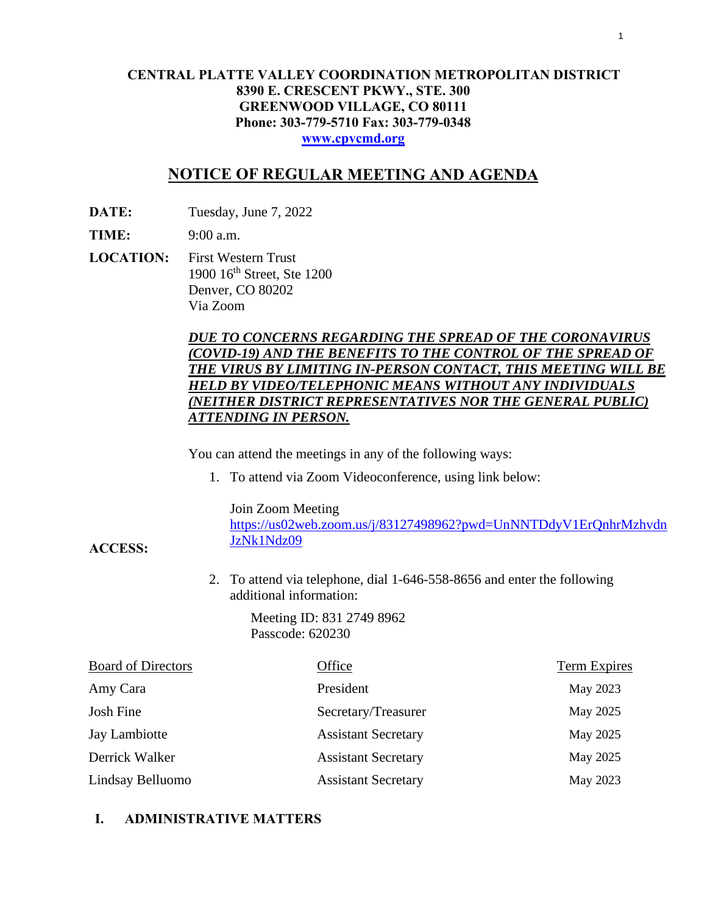#### **CENTRAL PLATTE VALLEY COORDINATION METROPOLITAN DISTRICT 8390 E. CRESCENT PKWY., STE. 300 GREENWOOD VILLAGE, CO 80111 Phone: 303-779-5710 Fax: 303-779-0348 [www.cpvcmd.org](http://www.cpvcmd.org/)**

### **NOTICE OF REGULAR MEETING AND AGENDA**

**DATE:** Tuesday, June 7, 2022

**TIME:** 9:00 a.m.

**ACCESS:**

**LOCATION:** First Western Trust 1900 16th Street, Ste 1200 Denver, CO 80202 Via Zoom

#### *DUE TO CONCERNS REGARDING THE SPREAD OF THE CORONAVIRUS (COVID-19) AND THE BENEFITS TO THE CONTROL OF THE SPREAD OF THE VIRUS BY LIMITING IN-PERSON CONTACT, THIS MEETING WILL BE HELD BY VIDEO/TELEPHONIC MEANS WITHOUT ANY INDIVIDUALS (NEITHER DISTRICT REPRESENTATIVES NOR THE GENERAL PUBLIC) ATTENDING IN PERSON.*

You can attend the meetings in any of the following ways:

1. To attend via Zoom Videoconference, using link below:

Join Zoom Meeting

[https://us02web.zoom.us/j/83127498962?pwd=UnNNTDdyV1ErQnhrMzhvdn](https://nam11.safelinks.protection.outlook.com/?url=https%3A%2F%2Fus02web.zoom.us%2Fj%2F83127498962%3Fpwd%3DUnNNTDdyV1ErQnhrMzhvdnJzNk1Ndz09&data=04%7C01%7CRachel.alles%40claconnect.com%7C515b8a3a5bb149f0483608d9bfe9225c%7C4aaa468e93ba4ee3ab9f6a247aa3ade0%7C0%7C0%7C637751830440162010%7CUnknown%7CTWFpbGZsb3d8eyJWIjoiMC4wLjAwMDAiLCJQIjoiV2luMzIiLCJBTiI6Ik1haWwiLCJXVCI6Mn0%3D%7C1000&sdata=52L7UuwlopVA0rXq4v79MPjtXkMJTQPWRs1BvoYRINs%3D&reserved=0) [JzNk1Ndz09](https://nam11.safelinks.protection.outlook.com/?url=https%3A%2F%2Fus02web.zoom.us%2Fj%2F83127498962%3Fpwd%3DUnNNTDdyV1ErQnhrMzhvdnJzNk1Ndz09&data=04%7C01%7CRachel.alles%40claconnect.com%7C515b8a3a5bb149f0483608d9bfe9225c%7C4aaa468e93ba4ee3ab9f6a247aa3ade0%7C0%7C0%7C637751830440162010%7CUnknown%7CTWFpbGZsb3d8eyJWIjoiMC4wLjAwMDAiLCJQIjoiV2luMzIiLCJBTiI6Ik1haWwiLCJXVCI6Mn0%3D%7C1000&sdata=52L7UuwlopVA0rXq4v79MPjtXkMJTQPWRs1BvoYRINs%3D&reserved=0)

2. To attend via telephone, dial 1-646-558-8656 and enter the following additional information:

> Meeting ID: 831 2749 8962 Passcode: 620230

| <b>Board of Directors</b> | Office                     | <b>Term Expires</b> |
|---------------------------|----------------------------|---------------------|
| Amy Cara                  | President                  | May 2023            |
| Josh Fine                 | Secretary/Treasurer        | May 2025            |
| Jay Lambiotte             | <b>Assistant Secretary</b> | May 2025            |
| Derrick Walker            | <b>Assistant Secretary</b> | May 2025            |
| Lindsay Belluomo          | <b>Assistant Secretary</b> | May 2023            |

#### **I. ADMINISTRATIVE MATTERS**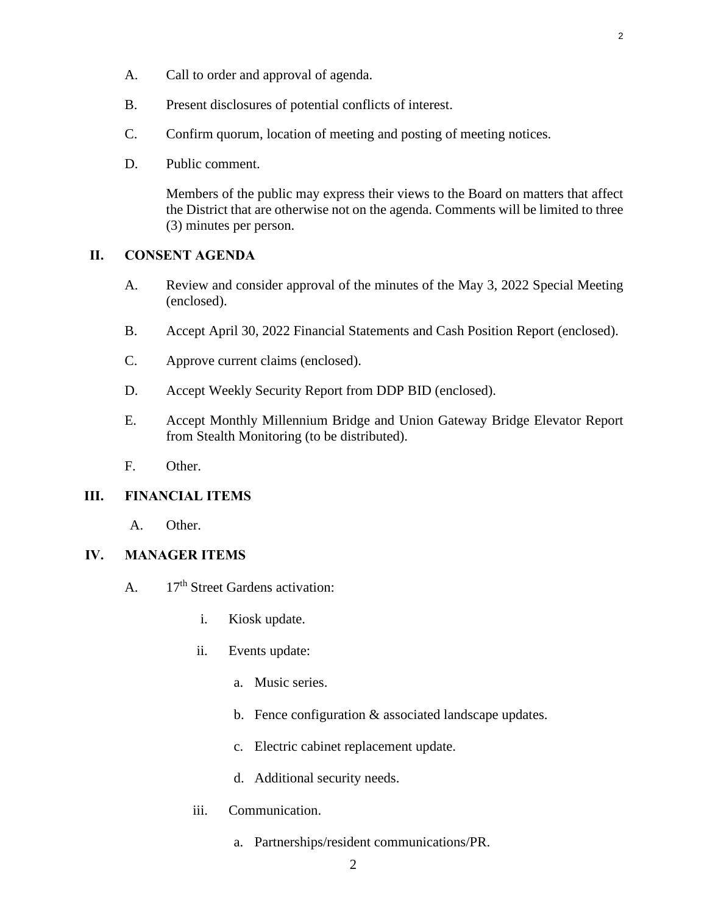- B. Present disclosures of potential conflicts of interest.
- C. Confirm quorum, location of meeting and posting of meeting notices.
- D. Public comment.

Members of the public may express their views to the Board on matters that affect the District that are otherwise not on the agenda. Comments will be limited to three (3) minutes per person.

#### **II. CONSENT AGENDA**

- A. [Review and consider approval of the minutes of the May 3, 2022 Special Meeting](#page-3-0) (enclosed).
- B. [Accept April 30, 2022 Financial Statements and Cash Position Report \(enclosed\).](#page-9-0)
- C. [Approve current claims \(enclosed\).](#page-16-0)
- D. [Accept Weekly Security Report from DDP BID \(enclosed\).](#page-20-0)
- E. Accept Monthly Millennium Bridge and Union Gateway Bridge Elevator Report from Stealth Monitoring (to be distributed).
- F. Other.

#### **III. FINANCIAL ITEMS**

A. Other.

#### **IV. MANAGER ITEMS**

- A. 17<sup>th</sup> Street Gardens activation:
	- i. Kiosk update.
	- ii. Events update:
		- a. Music series.
		- b. Fence configuration & associated landscape updates.
		- c. Electric cabinet replacement update.
		- d. Additional security needs.
	- iii. Communication.
		- a. Partnerships/resident communications/PR.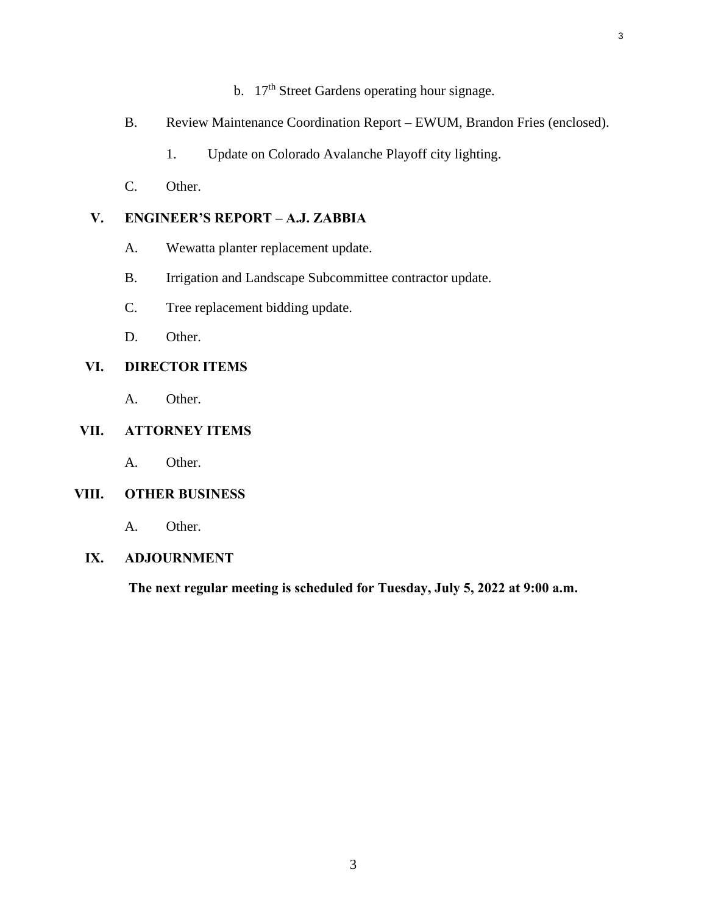b.  $17<sup>th</sup>$  Street Gardens operating hour signage.

3

- B. [Review Maintenance Coordination Report EWUM, Brandon Fries \(enclosed\).](#page-26-0)
	- 1. Update on Colorado Avalanche Playoff city lighting.
- C. Other.

#### **V. ENGINEER'S REPORT – A.J. ZABBIA**

- A. Wewatta planter replacement update.
- B. Irrigation and Landscape Subcommittee contractor update.
- C. Tree replacement bidding update.
- D. Other.

#### **VI. DIRECTOR ITEMS**

A. Other.

#### **VII. ATTORNEY ITEMS**

A. Other.

#### **VIII. OTHER BUSINESS**

A. Other.

### **IX. ADJOURNMENT**

**The next regular meeting is scheduled for Tuesday, July 5, 2022 at 9:00 a.m.**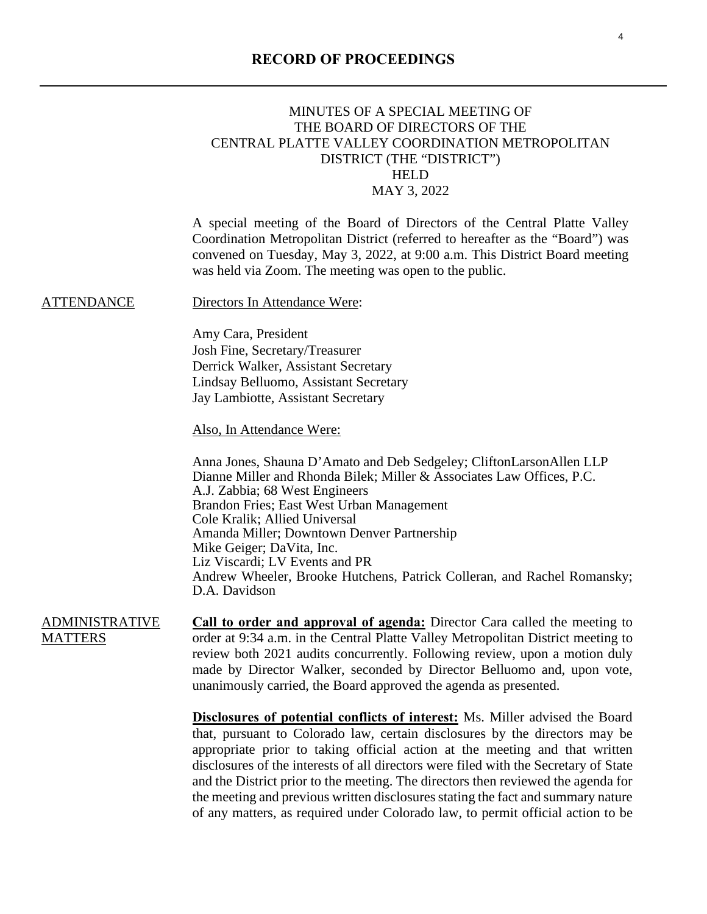#### **RECORD OF PROCEEDINGS**

#### <span id="page-3-0"></span>MINUTES OF A SPECIAL MEETING OF THE BOARD OF DIRECTORS OF THE CENTRAL PLATTE VALLEY COORDINATION METROPOLITAN DISTRICT (THE "DISTRICT") HELD MAY 3, 2022

A special meeting of the Board of Directors of the Central Platte Valley Coordination Metropolitan District (referred to hereafter as the "Board") was convened on Tuesday, May 3, 2022, at 9:00 a.m. This District Board meeting was held via Zoom. The meeting was open to the public.

#### ATTENDANCE Directors In Attendance Were:

Amy Cara, President Josh Fine, Secretary/Treasurer Derrick Walker, Assistant Secretary Lindsay Belluomo, Assistant Secretary Jay Lambiotte, Assistant Secretary

Also, In Attendance Were:

Anna Jones, Shauna D'Amato and Deb Sedgeley; CliftonLarsonAllen LLP Dianne Miller and Rhonda Bilek; Miller & Associates Law Offices, P.C. A.J. Zabbia; 68 West Engineers Brandon Fries; East West Urban Management Cole Kralik; Allied Universal Amanda Miller; Downtown Denver Partnership Mike Geiger; DaVita, Inc. Liz Viscardi; LV Events and PR Andrew Wheeler, Brooke Hutchens, Patrick Colleran, and Rachel Romansky; D.A. Davidson

ADMINISTRATIVE **MATTERS Call to order and approval of agenda:** Director Cara called the meeting to order at 9:34 a.m. in the Central Platte Valley Metropolitan District meeting to review both 2021 audits concurrently. Following review, upon a motion duly made by Director Walker, seconded by Director Belluomo and, upon vote, unanimously carried, the Board approved the agenda as presented.

> **Disclosures of potential conflicts of interest:** Ms. Miller advised the Board that, pursuant to Colorado law, certain disclosures by the directors may be appropriate prior to taking official action at the meeting and that written disclosures of the interests of all directors were filed with the Secretary of State and the District prior to the meeting. The directors then reviewed the agenda for the meeting and previous written disclosures stating the fact and summary nature of any matters, as required under Colorado law, to permit official action to be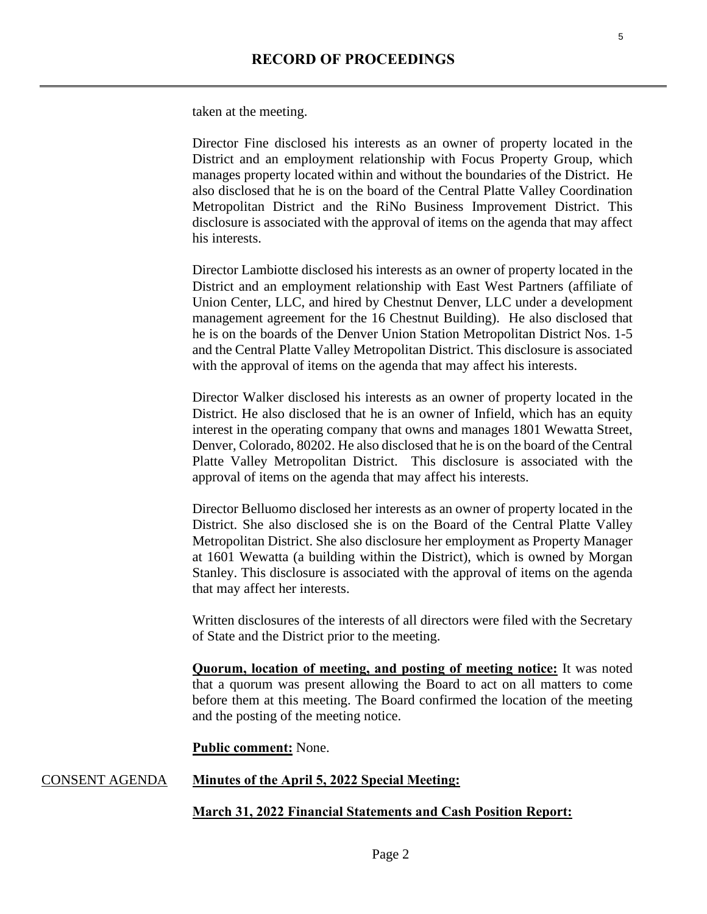taken at the meeting.

Director Fine disclosed his interests as an owner of property located in the District and an employment relationship with Focus Property Group, which manages property located within and without the boundaries of the District. He also disclosed that he is on the board of the Central Platte Valley Coordination Metropolitan District and the RiNo Business Improvement District. This disclosure is associated with the approval of items on the agenda that may affect his interests.

Director Lambiotte disclosed his interests as an owner of property located in the District and an employment relationship with East West Partners (affiliate of Union Center, LLC, and hired by Chestnut Denver, LLC under a development management agreement for the 16 Chestnut Building). He also disclosed that he is on the boards of the Denver Union Station Metropolitan District Nos. 1-5 and the Central Platte Valley Metropolitan District. This disclosure is associated with the approval of items on the agenda that may affect his interests.

Director Walker disclosed his interests as an owner of property located in the District. He also disclosed that he is an owner of Infield, which has an equity interest in the operating company that owns and manages 1801 Wewatta Street, Denver, Colorado, 80202. He also disclosed that he is on the board of the Central Platte Valley Metropolitan District. This disclosure is associated with the approval of items on the agenda that may affect his interests.

Director Belluomo disclosed her interests as an owner of property located in the District. She also disclosed she is on the Board of the Central Platte Valley Metropolitan District. She also disclosure her employment as Property Manager at 1601 Wewatta (a building within the District), which is owned by Morgan Stanley. This disclosure is associated with the approval of items on the agenda that may affect her interests.

Written disclosures of the interests of all directors were filed with the Secretary of State and the District prior to the meeting.

**Quorum, location of meeting, and posting of meeting notice:** It was noted that a quorum was present allowing the Board to act on all matters to come before them at this meeting. The Board confirmed the location of the meeting and the posting of the meeting notice.

#### **Public comment:** None.

#### CONSENT AGENDA **Minutes of the April 5, 2022 Special Meeting:**

#### **March 31, 2022 Financial Statements and Cash Position Report:**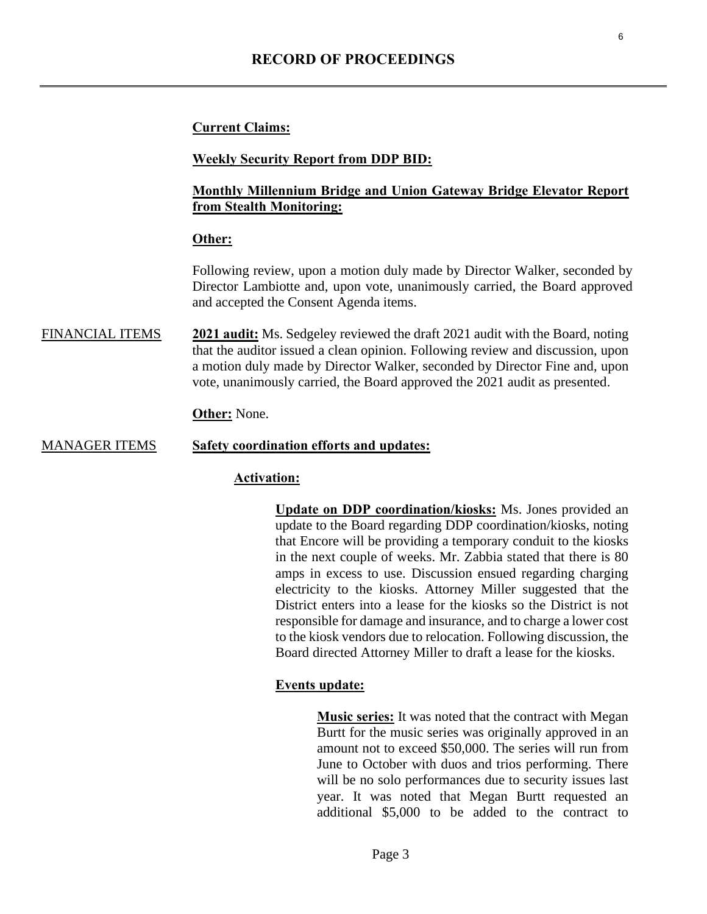#### **Current Claims:**

#### **Weekly Security Report from DDP BID:**

#### **Monthly Millennium Bridge and Union Gateway Bridge Elevator Report from Stealth Monitoring:**

#### **Other:**

Following review, upon a motion duly made by Director Walker, seconded by Director Lambiotte and, upon vote, unanimously carried, the Board approved and accepted the Consent Agenda items.

FINANCIAL ITEMS **2021 audit:** Ms. Sedgeley reviewed the draft 2021 audit with the Board, noting that the auditor issued a clean opinion. Following review and discussion, upon a motion duly made by Director Walker, seconded by Director Fine and, upon vote, unanimously carried, the Board approved the 2021 audit as presented.

#### **Other:** None.

#### MANAGER ITEMS **Safety coordination efforts and updates:**

#### **Activation:**

**Update on DDP coordination/kiosks:** Ms. Jones provided an update to the Board regarding DDP coordination/kiosks, noting that Encore will be providing a temporary conduit to the kiosks in the next couple of weeks. Mr. Zabbia stated that there is 80 amps in excess to use. Discussion ensued regarding charging electricity to the kiosks. Attorney Miller suggested that the District enters into a lease for the kiosks so the District is not responsible for damage and insurance, and to charge a lower cost to the kiosk vendors due to relocation. Following discussion, the Board directed Attorney Miller to draft a lease for the kiosks.

#### **Events update:**

**Music series:** It was noted that the contract with Megan Burtt for the music series was originally approved in an amount not to exceed \$50,000. The series will run from June to October with duos and trios performing. There will be no solo performances due to security issues last year. It was noted that Megan Burtt requested an additional \$5,000 to be added to the contract to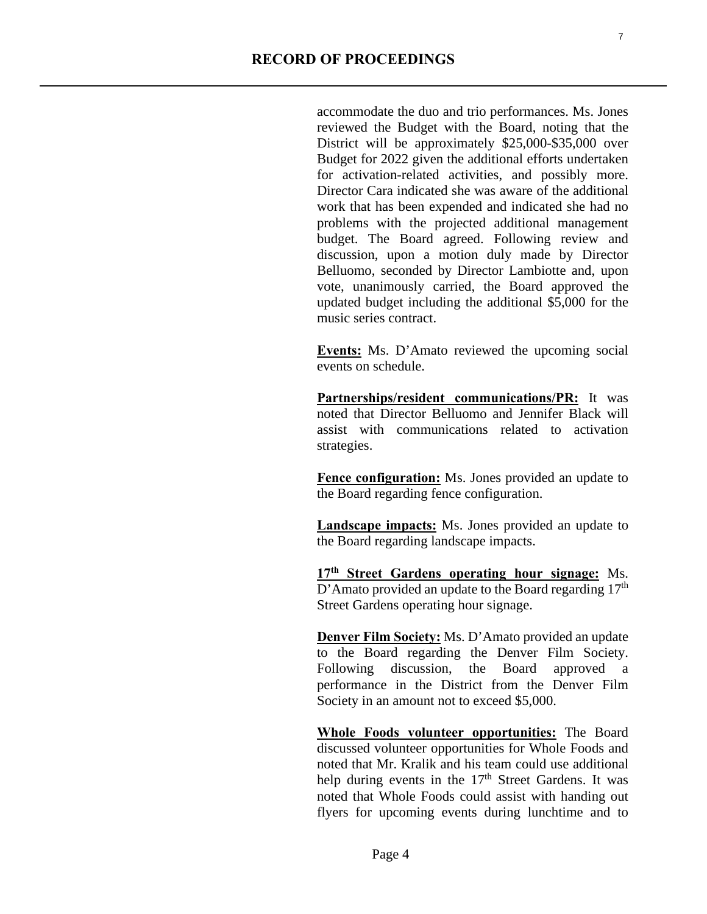accommodate the duo and trio performances. Ms. Jones reviewed the Budget with the Board, noting that the District will be approximately \$25,000-\$35,000 over Budget for 2022 given the additional efforts undertaken for activation-related activities, and possibly more. Director Cara indicated she was aware of the additional work that has been expended and indicated she had no problems with the projected additional management budget. The Board agreed. Following review and discussion, upon a motion duly made by Director Belluomo, seconded by Director Lambiotte and, upon vote, unanimously carried, the Board approved the updated budget including the additional \$5,000 for the music series contract.

**Events:** Ms. D'Amato reviewed the upcoming social events on schedule.

**Partnerships/resident communications/PR:** It was noted that Director Belluomo and Jennifer Black will assist with communications related to activation strategies.

**Fence configuration:** Ms. Jones provided an update to the Board regarding fence configuration.

**Landscape impacts:** Ms. Jones provided an update to the Board regarding landscape impacts.

**17th Street Gardens operating hour signage:** Ms.  $D'$ Amato provided an update to the Board regarding 17<sup>th</sup> Street Gardens operating hour signage.

**Denver Film Society:** Ms. D'Amato provided an update to the Board regarding the Denver Film Society. Following discussion, the Board approved a performance in the District from the Denver Film Society in an amount not to exceed \$5,000.

**Whole Foods volunteer opportunities:** The Board discussed volunteer opportunities for Whole Foods and noted that Mr. Kralik and his team could use additional help during events in the 17<sup>th</sup> Street Gardens. It was noted that Whole Foods could assist with handing out flyers for upcoming events during lunchtime and to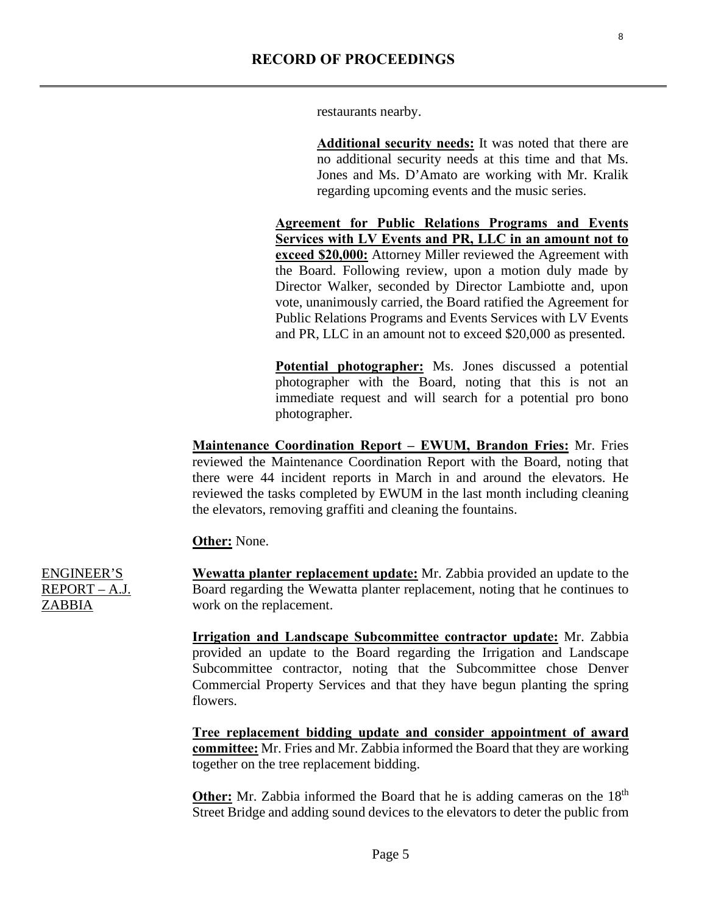8

restaurants nearby.

**Additional security needs:** It was noted that there are no additional security needs at this time and that Ms. Jones and Ms. D'Amato are working with Mr. Kralik regarding upcoming events and the music series.

**Agreement for Public Relations Programs and Events Services with LV Events and PR, LLC in an amount not to exceed \$20,000:** Attorney Miller reviewed the Agreement with the Board. Following review, upon a motion duly made by Director Walker, seconded by Director Lambiotte and, upon vote, unanimously carried, the Board ratified the Agreement for Public Relations Programs and Events Services with LV Events and PR, LLC in an amount not to exceed \$20,000 as presented.

**Potential photographer:** Ms. Jones discussed a potential photographer with the Board, noting that this is not an immediate request and will search for a potential pro bono photographer.

**Maintenance Coordination Report – EWUM, Brandon Fries:** Mr. Fries reviewed the Maintenance Coordination Report with the Board, noting that there were 44 incident reports in March in and around the elevators. He reviewed the tasks completed by EWUM in the last month including cleaning the elevators, removing graffiti and cleaning the fountains.

**Other:** None.

**Wewatta planter replacement update:** Mr. Zabbia provided an update to the Board regarding the Wewatta planter replacement, noting that he continues to work on the replacement.

**Irrigation and Landscape Subcommittee contractor update:** Mr. Zabbia provided an update to the Board regarding the Irrigation and Landscape Subcommittee contractor, noting that the Subcommittee chose Denver Commercial Property Services and that they have begun planting the spring flowers.

**Tree replacement bidding update and consider appointment of award committee:** Mr. Fries and Mr. Zabbia informed the Board that they are working together on the tree replacement bidding.

**Other:** Mr. Zabbia informed the Board that he is adding cameras on the 18<sup>th</sup> Street Bridge and adding sound devices to the elevators to deter the public from

ENGINEER'S REPORT – A.J. ZABBIA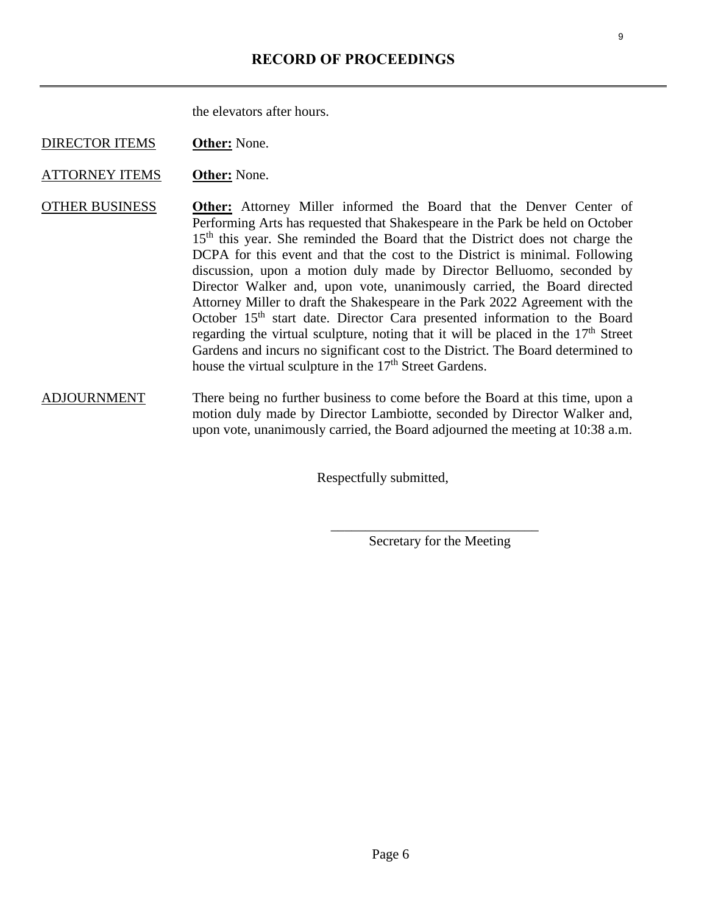the elevators after hours.

DIRECTOR ITEMS **Other:** None.

ATTORNEY ITEMS **Other:** None.

OTHER BUSINESS **Other:** Attorney Miller informed the Board that the Denver Center of Performing Arts has requested that Shakespeare in the Park be held on October 15<sup>th</sup> this year. She reminded the Board that the District does not charge the DCPA for this event and that the cost to the District is minimal. Following discussion, upon a motion duly made by Director Belluomo, seconded by Director Walker and, upon vote, unanimously carried, the Board directed Attorney Miller to draft the Shakespeare in the Park 2022 Agreement with the October 15<sup>th</sup> start date. Director Cara presented information to the Board regarding the virtual sculpture, noting that it will be placed in the  $17<sup>th</sup>$  Street Gardens and incurs no significant cost to the District. The Board determined to house the virtual sculpture in the 17<sup>th</sup> Street Gardens.

ADJOURNMENT There being no further business to come before the Board at this time, upon a motion duly made by Director Lambiotte, seconded by Director Walker and, upon vote, unanimously carried, the Board adjourned the meeting at 10:38 a.m.

Respectfully submitted,

Secretary for the Meeting

 $\overline{\phantom{a}}$  , which is a set of the set of the set of the set of the set of the set of the set of the set of the set of the set of the set of the set of the set of the set of the set of the set of the set of the set of th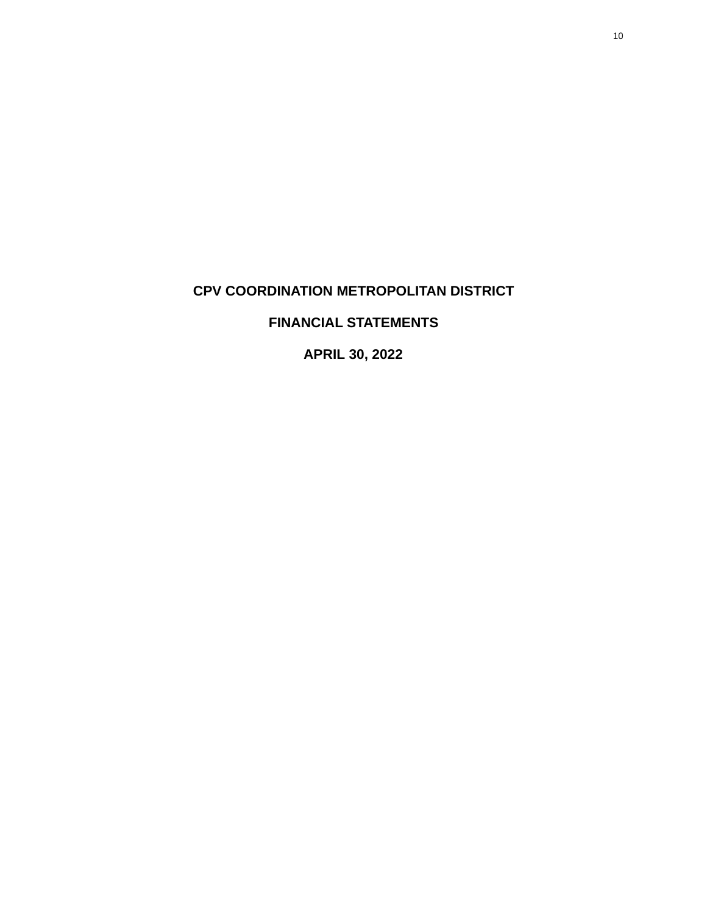# <span id="page-9-0"></span>**CPV COORDINATION METROPOLITAN DISTRICT**

## **FINANCIAL STATEMENTS**

**APRIL 30, 2022**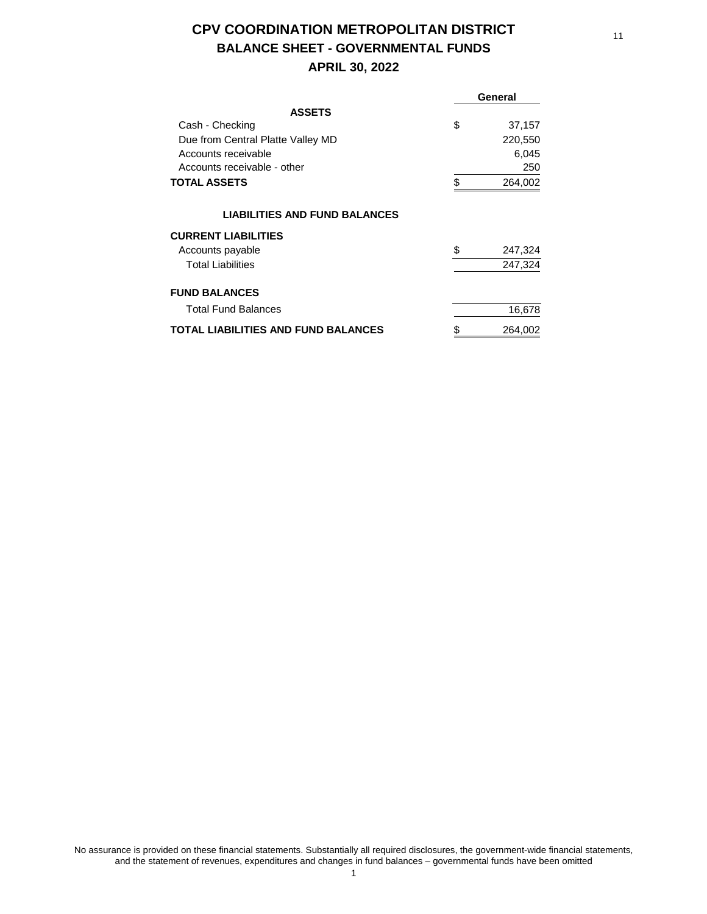# **CPV COORDINATION METROPOLITAN DISTRICT BALANCE SHEET - GOVERNMENTAL FUNDS**

#### **APRIL 30, 2022**

|                                      | General       |
|--------------------------------------|---------------|
| <b>ASSETS</b>                        |               |
| Cash - Checking                      | \$<br>37,157  |
| Due from Central Platte Valley MD    | 220,550       |
| Accounts receivable                  | 6,045         |
| Accounts receivable - other          | 250           |
| <b>TOTAL ASSETS</b>                  | \$<br>264,002 |
| <b>LIABILITIES AND FUND BALANCES</b> |               |
| <b>CURRENT LIABILITIES</b>           |               |
| Accounts payable                     | \$<br>247,324 |
| <b>Total Liabilities</b>             | 247,324       |
| <b>FUND BALANCES</b>                 |               |
| <b>Total Fund Balances</b>           | 16,678        |
| TOTAL LIABILITIES AND FUND BALANCES  | \$<br>264,002 |

No assurance is provided on these financial statements. Substantially all required disclosures, the government-wide financial statements, and the statement of revenues, expenditures and changes in fund balances – governmental funds have been omitted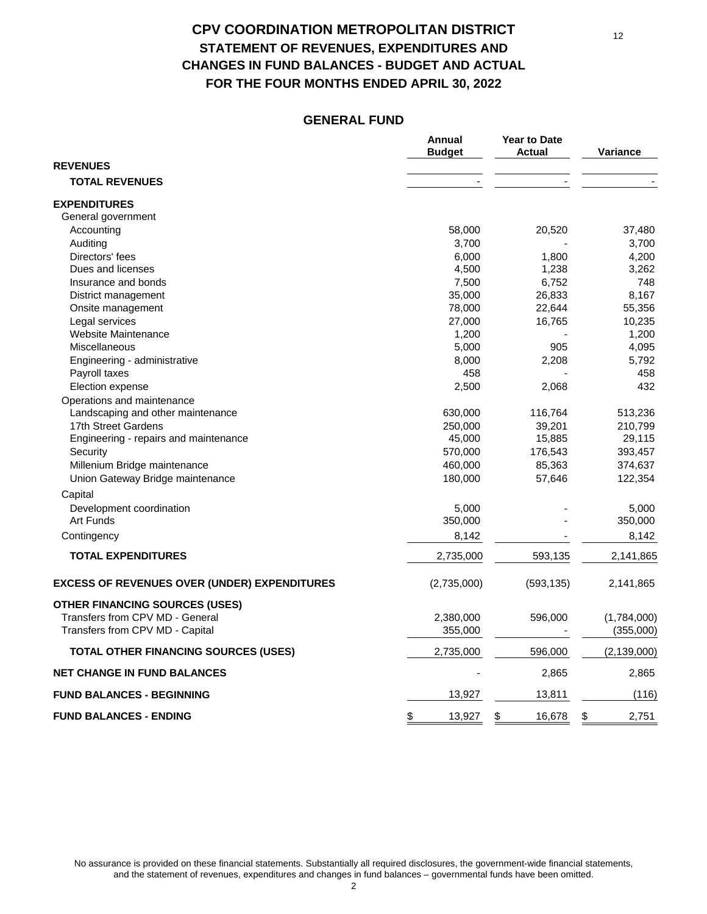## **CPV COORDINATION METROPOLITAN DISTRICT STATEMENT OF REVENUES, EXPENDITURES AND CHANGES IN FUND BALANCES - BUDGET AND ACTUAL FOR THE FOUR MONTHS ENDED APRIL 30, 2022**

#### **GENERAL FUND**

|                                                     | Annual<br><b>Budget</b> | <b>Year to Date</b><br><b>Actual</b> | Variance      |
|-----------------------------------------------------|-------------------------|--------------------------------------|---------------|
| <b>REVENUES</b>                                     |                         |                                      |               |
| <b>TOTAL REVENUES</b>                               |                         |                                      |               |
| <b>EXPENDITURES</b>                                 |                         |                                      |               |
| General government                                  |                         |                                      |               |
| Accounting                                          | 58,000                  | 20,520                               | 37,480        |
| Auditing                                            | 3,700                   |                                      | 3,700         |
| Directors' fees                                     | 6,000                   | 1,800                                | 4,200         |
| Dues and licenses                                   | 4,500                   | 1,238                                | 3,262         |
| Insurance and bonds                                 | 7,500                   | 6,752                                | 748           |
| District management                                 | 35,000                  | 26,833                               | 8,167         |
| Onsite management                                   | 78,000                  | 22,644                               | 55,356        |
| Legal services                                      | 27,000                  | 16,765                               | 10,235        |
| Website Maintenance                                 | 1,200                   |                                      | 1,200         |
| Miscellaneous                                       | 5,000                   | 905                                  | 4,095         |
| Engineering - administrative                        | 8,000                   | 2,208                                | 5,792         |
| Payroll taxes                                       | 458                     |                                      | 458           |
| Election expense                                    | 2,500                   | 2,068                                | 432           |
| Operations and maintenance                          |                         |                                      |               |
| Landscaping and other maintenance                   | 630,000                 | 116,764                              | 513,236       |
| 17th Street Gardens                                 | 250,000                 | 39,201                               | 210,799       |
| Engineering - repairs and maintenance               | 45,000                  | 15,885                               | 29,115        |
| Security                                            | 570,000                 | 176,543                              | 393,457       |
| Millenium Bridge maintenance                        | 460,000                 | 85,363                               | 374,637       |
| Union Gateway Bridge maintenance                    | 180,000                 | 57,646                               | 122,354       |
| Capital                                             |                         |                                      |               |
| Development coordination                            | 5,000                   |                                      | 5,000         |
| Art Funds                                           | 350,000                 |                                      | 350,000       |
| Contingency                                         | 8,142                   |                                      | 8,142         |
| <b>TOTAL EXPENDITURES</b>                           | 2,735,000               | 593,135                              | 2,141,865     |
| <b>EXCESS OF REVENUES OVER (UNDER) EXPENDITURES</b> | (2,735,000)             | (593, 135)                           | 2,141,865     |
| <b>OTHER FINANCING SOURCES (USES)</b>               |                         |                                      |               |
| Transfers from CPV MD - General                     | 2,380,000               | 596,000                              | (1,784,000)   |
| Transfers from CPV MD - Capital                     | 355,000                 |                                      | (355,000)     |
| <b>TOTAL OTHER FINANCING SOURCES (USES)</b>         | 2,735,000               | 596,000                              | (2, 139, 000) |
| <b>NET CHANGE IN FUND BALANCES</b>                  |                         | 2,865                                | 2,865         |
| <b>FUND BALANCES - BEGINNING</b>                    | 13,927                  | 13,811                               | (116)         |
| <b>FUND BALANCES - ENDING</b>                       | \$<br>13,927            | \$<br>16,678                         | \$<br>2,751   |

12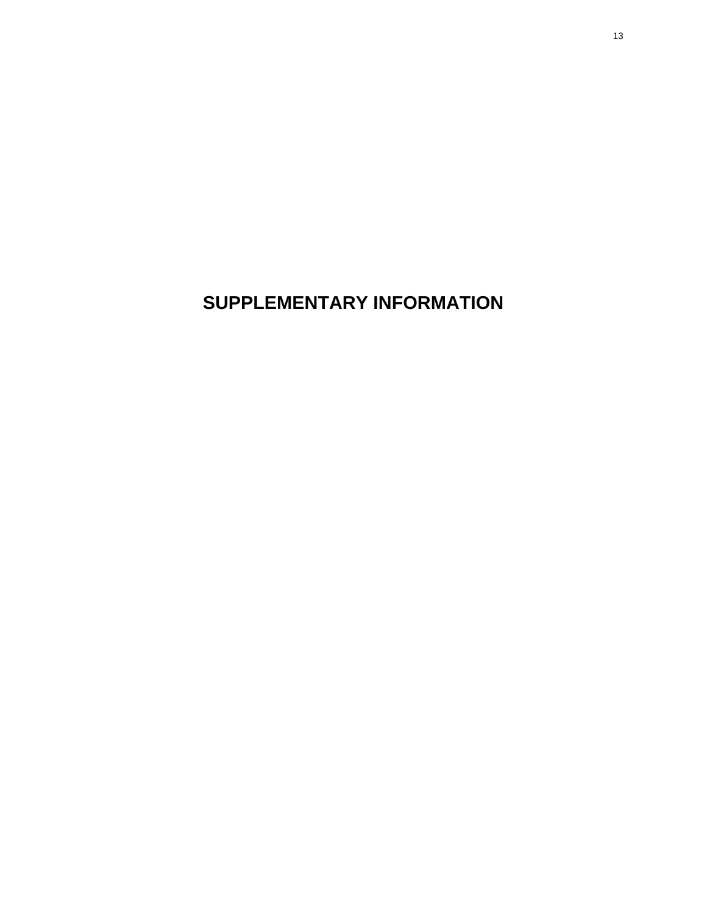**SUPPLEMENTARY INFORMATION**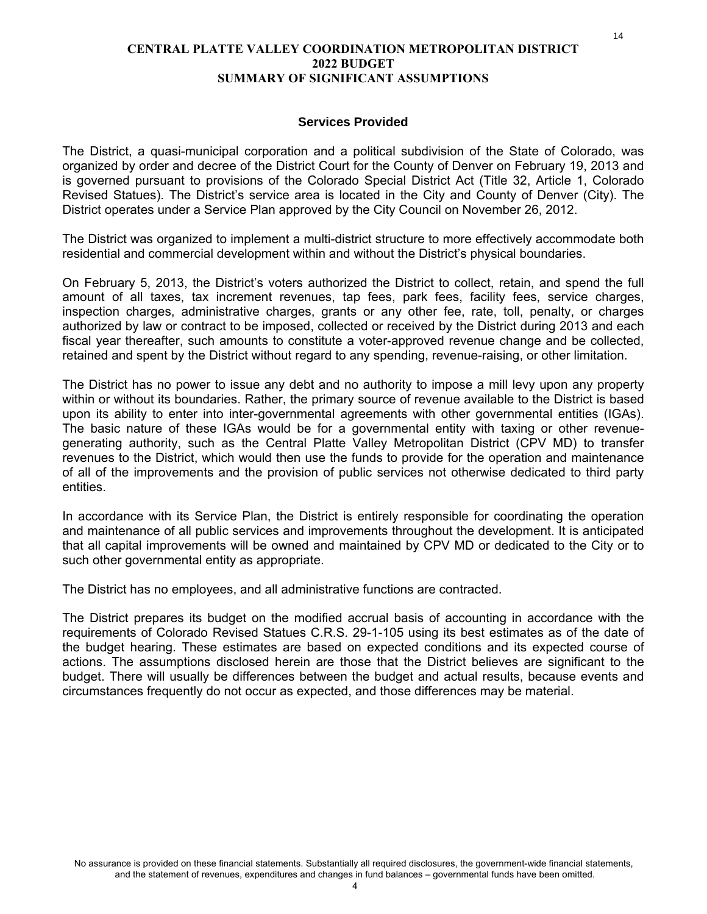#### **CENTRAL PLATTE VALLEY COORDINATION METROPOLITAN DISTRICT 2022 BUDGET SUMMARY OF SIGNIFICANT ASSUMPTIONS**

#### **Services Provided**

The District, a quasi-municipal corporation and a political subdivision of the State of Colorado, was organized by order and decree of the District Court for the County of Denver on February 19, 2013 and is governed pursuant to provisions of the Colorado Special District Act (Title 32, Article 1, Colorado Revised Statues). The District's service area is located in the City and County of Denver (City). The District operates under a Service Plan approved by the City Council on November 26, 2012.

The District was organized to implement a multi-district structure to more effectively accommodate both residential and commercial development within and without the District's physical boundaries.

On February 5, 2013, the District's voters authorized the District to collect, retain, and spend the full amount of all taxes, tax increment revenues, tap fees, park fees, facility fees, service charges, inspection charges, administrative charges, grants or any other fee, rate, toll, penalty, or charges authorized by law or contract to be imposed, collected or received by the District during 2013 and each fiscal year thereafter, such amounts to constitute a voter-approved revenue change and be collected, retained and spent by the District without regard to any spending, revenue-raising, or other limitation.

The District has no power to issue any debt and no authority to impose a mill levy upon any property within or without its boundaries. Rather, the primary source of revenue available to the District is based upon its ability to enter into inter-governmental agreements with other governmental entities (IGAs). The basic nature of these IGAs would be for a governmental entity with taxing or other revenuegenerating authority, such as the Central Platte Valley Metropolitan District (CPV MD) to transfer revenues to the District, which would then use the funds to provide for the operation and maintenance of all of the improvements and the provision of public services not otherwise dedicated to third party entities.

In accordance with its Service Plan, the District is entirely responsible for coordinating the operation and maintenance of all public services and improvements throughout the development. It is anticipated that all capital improvements will be owned and maintained by CPV MD or dedicated to the City or to such other governmental entity as appropriate.

The District has no employees, and all administrative functions are contracted.

The District prepares its budget on the modified accrual basis of accounting in accordance with the requirements of Colorado Revised Statues C.R.S. 29-1-105 using its best estimates as of the date of the budget hearing. These estimates are based on expected conditions and its expected course of actions. The assumptions disclosed herein are those that the District believes are significant to the budget. There will usually be differences between the budget and actual results, because events and circumstances frequently do not occur as expected, and those differences may be material.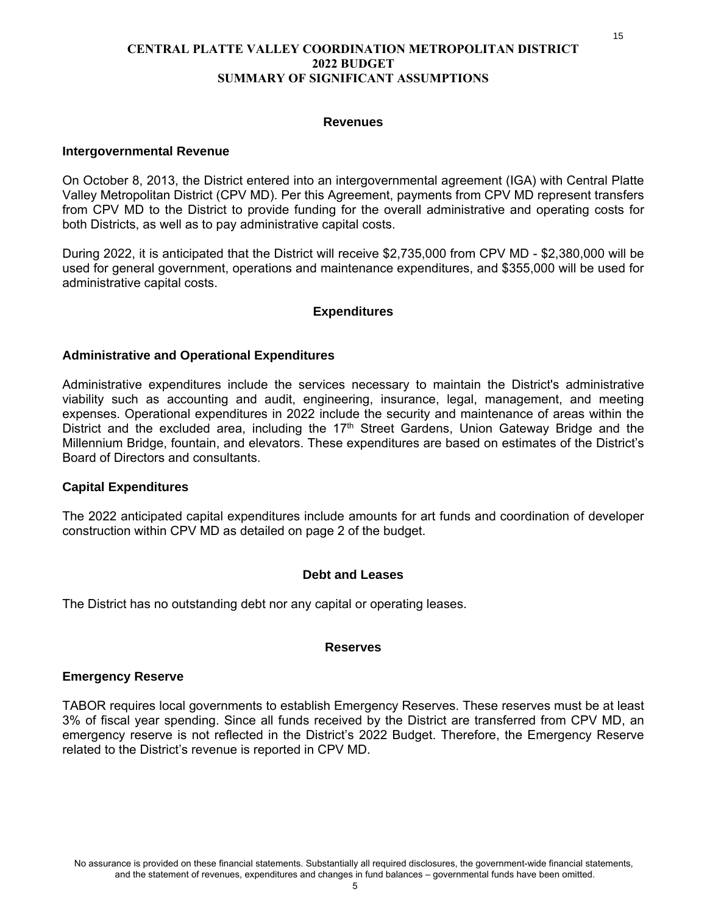#### **CENTRAL PLATTE VALLEY COORDINATION METROPOLITAN DISTRICT 2022 BUDGET SUMMARY OF SIGNIFICANT ASSUMPTIONS**

#### **Revenues**

#### **Intergovernmental Revenue**

On October 8, 2013, the District entered into an intergovernmental agreement (IGA) with Central Platte Valley Metropolitan District (CPV MD). Per this Agreement, payments from CPV MD represent transfers from CPV MD to the District to provide funding for the overall administrative and operating costs for both Districts, as well as to pay administrative capital costs.

During 2022, it is anticipated that the District will receive \$2,735,000 from CPV MD - \$2,380,000 will be used for general government, operations and maintenance expenditures, and \$355,000 will be used for administrative capital costs.

#### **Expenditures**

#### **Administrative and Operational Expenditures**

Administrative expenditures include the services necessary to maintain the District's administrative viability such as accounting and audit, engineering, insurance, legal, management, and meeting expenses. Operational expenditures in 2022 include the security and maintenance of areas within the District and the excluded area, including the 17<sup>th</sup> Street Gardens, Union Gateway Bridge and the Millennium Bridge, fountain, and elevators. These expenditures are based on estimates of the District's Board of Directors and consultants.

#### **Capital Expenditures**

The 2022 anticipated capital expenditures include amounts for art funds and coordination of developer construction within CPV MD as detailed on page 2 of the budget.

#### **Debt and Leases**

The District has no outstanding debt nor any capital or operating leases.

#### **Reserves**

#### **Emergency Reserve**

TABOR requires local governments to establish Emergency Reserves. These reserves must be at least 3% of fiscal year spending. Since all funds received by the District are transferred from CPV MD, an emergency reserve is not reflected in the District's 2022 Budget. Therefore, the Emergency Reserve related to the District's revenue is reported in CPV MD.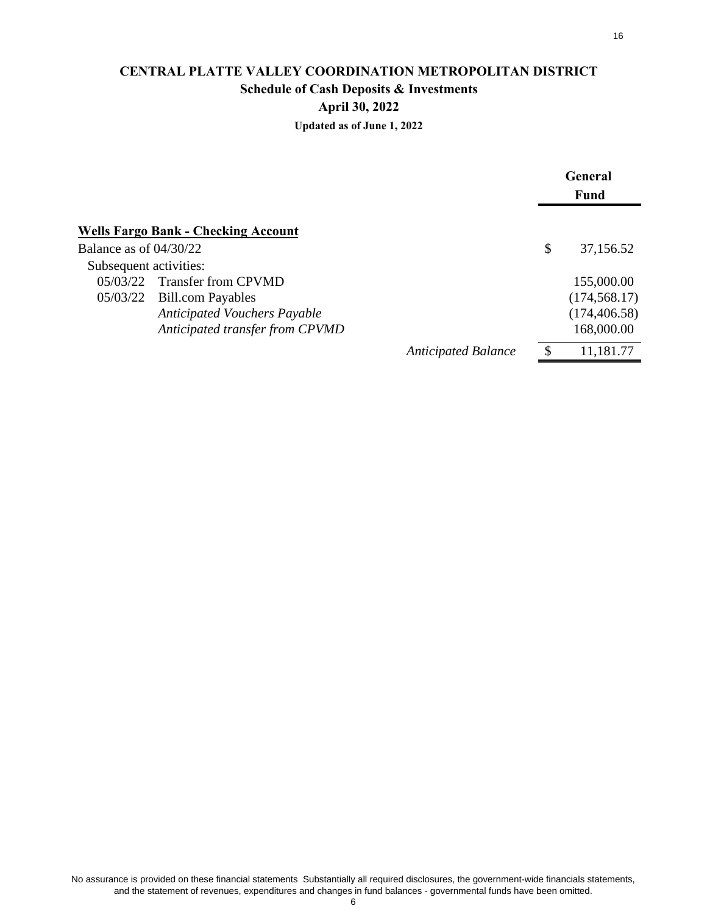# **CENTRAL PLATTE VALLEY COORDINATION METROPOLITAN DISTRICT Schedule of Cash Deposits & Investments April 30, 2022**

**Updated as of June 1, 2022**

|                          |                                            |                            | <b>General</b>  |
|--------------------------|--------------------------------------------|----------------------------|-----------------|
|                          |                                            |                            | Fund            |
|                          | <b>Wells Fargo Bank - Checking Account</b> |                            |                 |
| Balance as of $04/30/22$ |                                            |                            | \$<br>37,156.52 |
| Subsequent activities:   |                                            |                            |                 |
| 05/03/22                 | <b>Transfer from CPVMD</b>                 |                            | 155,000.00      |
| 05/03/22                 | <b>Bill.com Payables</b>                   |                            | (174, 568.17)   |
|                          | <b>Anticipated Vouchers Payable</b>        |                            | (174, 406.58)   |
|                          | Anticipated transfer from CPVMD            |                            | 168,000.00      |
|                          |                                            | <b>Anticipated Balance</b> | 11,181.77       |

6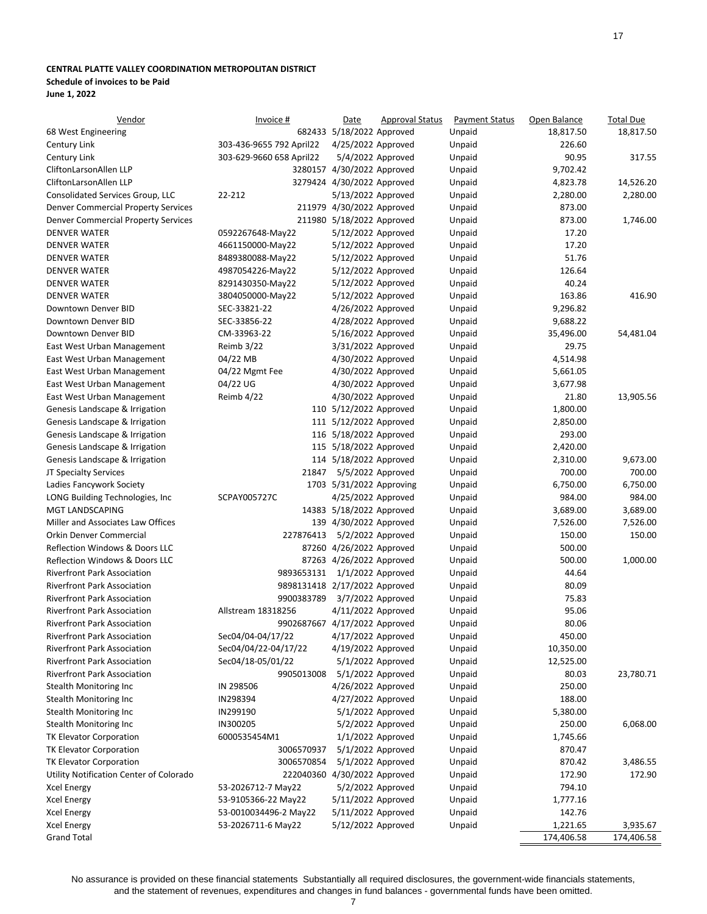#### <span id="page-16-0"></span>**CENTRAL PLATTE VALLEY COORDINATION METROPOLITAN DISTRICT**

#### **Schedule of invoices to be Paid**

**June 1, 2022**

| Vendor                                     | Invoice #                     | Date                       | <b>Approval Status</b> | <b>Payment Status</b> | Open Balance | <b>Total Due</b> |
|--------------------------------------------|-------------------------------|----------------------------|------------------------|-----------------------|--------------|------------------|
| 68 West Engineering                        |                               | 682433 5/18/2022 Approved  |                        | Unpaid                | 18,817.50    | 18,817.50        |
| Century Link                               | 303-436-9655 792 April22      | 4/25/2022 Approved         |                        | Unpaid                | 226.60       |                  |
| Century Link                               | 303-629-9660 658 April22      |                            | $5/4/2022$ Approved    | Unpaid                | 90.95        | 317.55           |
| CliftonLarsonAllen LLP                     |                               | 3280157 4/30/2022 Approved |                        | Unpaid                | 9,702.42     |                  |
| CliftonLarsonAllen LLP                     |                               | 3279424 4/30/2022 Approved |                        | Unpaid                | 4,823.78     | 14,526.20        |
| Consolidated Services Group, LLC           | 22-212                        | 5/13/2022 Approved         |                        | Unpaid                | 2,280.00     | 2,280.00         |
| <b>Denver Commercial Property Services</b> |                               | 211979 4/30/2022 Approved  |                        | Unpaid                | 873.00       |                  |
| <b>Denver Commercial Property Services</b> |                               | 211980 5/18/2022 Approved  |                        | Unpaid                | 873.00       | 1,746.00         |
| <b>DENVER WATER</b>                        | 0592267648-May22              | 5/12/2022 Approved         |                        | Unpaid                | 17.20        |                  |
| <b>DENVER WATER</b>                        | 4661150000-May22              | 5/12/2022 Approved         |                        | Unpaid                | 17.20        |                  |
| <b>DENVER WATER</b>                        | 8489380088-May22              | 5/12/2022 Approved         |                        | Unpaid                | 51.76        |                  |
| <b>DENVER WATER</b>                        | 4987054226-May22              | 5/12/2022 Approved         |                        | Unpaid                | 126.64       |                  |
| <b>DENVER WATER</b>                        | 8291430350-May22              | 5/12/2022 Approved         |                        | Unpaid                | 40.24        |                  |
| <b>DENVER WATER</b>                        | 3804050000-May22              | 5/12/2022 Approved         |                        | Unpaid                | 163.86       | 416.90           |
| Downtown Denver BID                        | SEC-33821-22                  | 4/26/2022 Approved         |                        | Unpaid                | 9,296.82     |                  |
| Downtown Denver BID                        | SEC-33856-22                  | 4/28/2022 Approved         |                        | Unpaid                | 9,688.22     |                  |
| Downtown Denver BID                        | CM-33963-22                   | 5/16/2022 Approved         |                        | Unpaid                | 35,496.00    | 54,481.04        |
| East West Urban Management                 | Reimb 3/22                    | 3/31/2022 Approved         |                        | Unpaid                | 29.75        |                  |
| East West Urban Management                 | 04/22 MB                      | 4/30/2022 Approved         |                        | Unpaid                | 4,514.98     |                  |
| East West Urban Management                 | 04/22 Mgmt Fee                | 4/30/2022 Approved         |                        | Unpaid                | 5,661.05     |                  |
| East West Urban Management                 | 04/22 UG                      | 4/30/2022 Approved         |                        | Unpaid                | 3,677.98     |                  |
| East West Urban Management                 | Reimb 4/22                    | 4/30/2022 Approved         |                        | Unpaid                | 21.80        | 13,905.56        |
| Genesis Landscape & Irrigation             |                               | 110 5/12/2022 Approved     |                        | Unpaid                | 1,800.00     |                  |
| Genesis Landscape & Irrigation             |                               | 111 5/12/2022 Approved     |                        | Unpaid                | 2,850.00     |                  |
| Genesis Landscape & Irrigation             |                               | 116 5/18/2022 Approved     |                        | Unpaid                | 293.00       |                  |
| Genesis Landscape & Irrigation             |                               | 115 5/18/2022 Approved     |                        | Unpaid                | 2,420.00     |                  |
| Genesis Landscape & Irrigation             |                               | 114 5/18/2022 Approved     |                        | Unpaid                | 2,310.00     | 9,673.00         |
| JT Specialty Services                      | 21847                         |                            | 5/5/2022 Approved      | Unpaid                | 700.00       | 700.00           |
| Ladies Fancywork Society                   |                               | 1703 5/31/2022 Approving   |                        | Unpaid                | 6,750.00     | 6,750.00         |
| LONG Building Technologies, Inc            | SCPAY005727C                  | 4/25/2022 Approved         |                        | Unpaid                | 984.00       | 984.00           |
| MGT LANDSCAPING                            |                               | 14383 5/18/2022 Approved   |                        | Unpaid                | 3,689.00     | 3,689.00         |
| Miller and Associates Law Offices          |                               | 139 4/30/2022 Approved     |                        | Unpaid                | 7,526.00     | 7,526.00         |
| Orkin Denver Commercial                    | 227876413                     |                            | 5/2/2022 Approved      | Unpaid                | 150.00       | 150.00           |
| Reflection Windows & Doors LLC             |                               | 87260 4/26/2022 Approved   |                        | Unpaid                | 500.00       |                  |
| Reflection Windows & Doors LLC             |                               | 87263 4/26/2022 Approved   |                        | Unpaid                | 500.00       | 1,000.00         |
| <b>Riverfront Park Association</b>         | 9893653131                    |                            | $1/1/2022$ Approved    | Unpaid                | 44.64        |                  |
| <b>Riverfront Park Association</b>         | 9898131418 2/17/2022 Approved |                            |                        | Unpaid                | 80.09        |                  |
| <b>Riverfront Park Association</b>         | 9900383789                    |                            | 3/7/2022 Approved      | Unpaid                | 75.83        |                  |
| <b>Riverfront Park Association</b>         | Allstream 18318256            | 4/11/2022 Approved         |                        | Unpaid                | 95.06        |                  |
| <b>Riverfront Park Association</b>         | 9902687667 4/17/2022 Approved |                            |                        | Unpaid                | 80.06        |                  |
| <b>Riverfront Park Association</b>         | Sec04/04-04/17/22             | 4/17/2022 Approved         |                        | Unpaid                | 450.00       |                  |
| <b>Riverfront Park Association</b>         | Sec04/04/22-04/17/22          | 4/19/2022 Approved         |                        | Unpaid                | 10,350.00    |                  |
| <b>Riverfront Park Association</b>         | Sec04/18-05/01/22             |                            | 5/1/2022 Approved      | Unpaid                | 12,525.00    |                  |
| <b>Riverfront Park Association</b>         | 9905013008                    |                            | 5/1/2022 Approved      | Unpaid                | 80.03        | 23,780.71        |
| Stealth Monitoring Inc                     | IN 298506                     | 4/26/2022 Approved         |                        | Unpaid                | 250.00       |                  |
| Stealth Monitoring Inc                     | IN298394                      | 4/27/2022 Approved         |                        | Unpaid                | 188.00       |                  |
| Stealth Monitoring Inc                     | IN299190                      |                            | 5/1/2022 Approved      | Unpaid                | 5,380.00     |                  |
| Stealth Monitoring Inc                     | IN300205                      |                            | 5/2/2022 Approved      | Unpaid                | 250.00       | 6,068.00         |
| TK Elevator Corporation                    | 6000535454M1                  |                            | $1/1/2022$ Approved    | Unpaid                | 1,745.66     |                  |
| TK Elevator Corporation                    | 3006570937                    |                            | 5/1/2022 Approved      | Unpaid                | 870.47       |                  |
| <b>TK Elevator Corporation</b>             | 3006570854                    |                            | 5/1/2022 Approved      | Unpaid                | 870.42       | 3,486.55         |
| Utility Notification Center of Colorado    | 222040360 4/30/2022 Approved  |                            |                        | Unpaid                | 172.90       | 172.90           |
| <b>Xcel Energy</b>                         | 53-2026712-7 May22            |                            | 5/2/2022 Approved      | Unpaid                | 794.10       |                  |
| <b>Xcel Energy</b>                         | 53-9105366-22 May22           | 5/11/2022 Approved         |                        | Unpaid                | 1,777.16     |                  |
| <b>Xcel Energy</b>                         | 53-0010034496-2 May22         | 5/11/2022 Approved         |                        | Unpaid                | 142.76       |                  |
| <b>Xcel Energy</b>                         | 53-2026711-6 May22            | 5/12/2022 Approved         |                        | Unpaid                | 1,221.65     | 3,935.67         |
| <b>Grand Total</b>                         |                               |                            |                        |                       | 174,406.58   | 174,406.58       |

No assurance is provided on these financial statements Substantially all required disclosures, the government-wide financials statements, and the statement of revenues, expenditures and changes in fund balances - governmental funds have been omitted.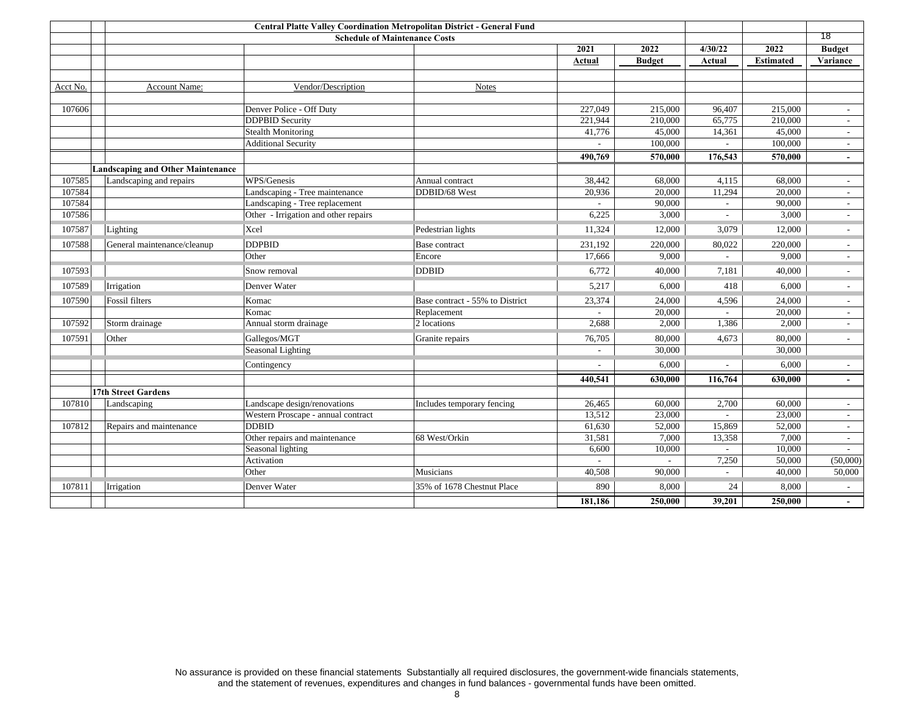|          |                                          |                                      | <b>Schedule of Maintenance Costs</b> |                          |               |                             |                  | 18                          |
|----------|------------------------------------------|--------------------------------------|--------------------------------------|--------------------------|---------------|-----------------------------|------------------|-----------------------------|
|          |                                          |                                      |                                      | 2021                     | 2022          | 4/30/22                     | 2022             | <b>Budget</b>               |
|          |                                          |                                      |                                      | Actual                   | <b>Budget</b> | Actual                      | <b>Estimated</b> | Variance                    |
|          |                                          |                                      |                                      |                          |               |                             |                  |                             |
| Acct No. | Account Name:                            | Vendor/Description                   | <b>Notes</b>                         |                          |               |                             |                  |                             |
|          |                                          |                                      |                                      |                          |               |                             |                  |                             |
| 107606   |                                          | Denver Police - Off Duty             |                                      | 227,049                  | 215,000       | 96.407                      | 215,000          |                             |
|          |                                          | <b>DDPBID Security</b>               |                                      | 221,944                  | 210,000       | 65,775                      | 210,000          | $\sim$                      |
|          |                                          | <b>Stealth Monitoring</b>            |                                      | 41,776                   | 45,000        | 14,361                      | 45,000           | $\sim$                      |
|          |                                          | <b>Additional Security</b>           |                                      |                          | 100,000       | $\overline{\phantom{a}}$    | 100,000          | $\overline{\phantom{a}}$    |
|          |                                          |                                      |                                      | 490,769                  | 570,000       | 176,543                     | 570,000          | $\overline{\phantom{a}}$    |
|          | <b>Landscaping and Other Maintenance</b> |                                      |                                      |                          |               |                             |                  |                             |
| 107585   | Landscaping and repairs                  | WPS/Genesis                          | Annual contract                      | 38,442                   | 68,000        | 4,115                       | 68,000           | $\mathcal{L}_{\mathcal{A}}$ |
| 107584   |                                          | Landscaping - Tree maintenance       | DDBID/68 West                        | 20,936                   | 20,000        | 11,294                      | 20,000           | $\sim$                      |
| 107584   |                                          | Landscaping - Tree replacement       |                                      |                          | 90,000        | $\sim$                      | 90,000           | $\sim$                      |
| 107586   |                                          | Other - Irrigation and other repairs |                                      | 6,225                    | 3,000         | $\sim$                      | 3,000            | $\sim$                      |
| 107587   | Lighting                                 | Xcel                                 | Pedestrian lights                    | 11,324                   | 12,000        | 3,079                       | 12,000           | $\overline{\phantom{a}}$    |
| 107588   | General maintenance/cleanup              | <b>DDPBID</b>                        | Base contract                        | 231,192                  | 220,000       | 80,022                      | 220,000          | $\sim$                      |
|          |                                          | Other                                | Encore                               | 17,666                   | 9,000         | $\overline{a}$              | 9.000            | $\sim$                      |
| 107593   |                                          | Snow removal                         | <b>DDBID</b>                         | 6,772                    | 40,000        | 7,181                       | 40,000           | $\sim$                      |
| 107589   | Irrigation                               | Denver Water                         |                                      | 5,217                    | 6,000         | 418                         | 6,000            | $\overline{\phantom{a}}$    |
| 107590   | Fossil filters                           | Komac                                | Base contract - 55% to District      | 23,374                   | 24,000        | 4,596                       | 24,000           | $\sim$                      |
|          |                                          | Komac                                | Replacement                          |                          | 20,000        |                             | 20,000           | $\sim$                      |
| 107592   | Storm drainage                           | Annual storm drainage                | 2 locations                          | 2,688                    | 2,000         | 1,386                       | 2,000            | $\sim$                      |
| 107591   | Other                                    | Gallegos/MGT                         | Granite repairs                      | 76,705                   | 80,000        | 4,673                       | 80,000           | $\sim$                      |
|          |                                          | Seasonal Lighting                    |                                      | $\sim$                   | 30,000        |                             | 30,000           |                             |
|          |                                          | Contingency                          |                                      |                          | 6,000         |                             | 6,000            | $\sim$                      |
|          |                                          |                                      |                                      | 440,541                  | 630,000       | 116,764                     | 630,000          | $\sim$                      |
|          | <b>17th Street Gardens</b>               |                                      |                                      |                          |               |                             |                  |                             |
| 107810   | Landscaping                              | Landscape design/renovations         | Includes temporary fencing           | 26,465                   | 60,000        | 2,700                       | 60,000           | $\overline{\phantom{a}}$    |
|          |                                          | Western Proscape - annual contract   |                                      | 13,512                   | 23,000        | $\mathcal{L}^{\mathcal{A}}$ | 23,000           | $\overline{\phantom{a}}$    |
| 107812   | Repairs and maintenance                  | <b>DDBID</b>                         |                                      | 61,630                   | 52,000        | 15,869                      | 52,000           | $\overline{\phantom{a}}$    |
|          |                                          | Other repairs and maintenance        | 68 West/Orkin                        | 31,581                   | 7,000         | 13,358                      | 7,000            | $\sim$                      |
|          |                                          | Seasonal lighting                    |                                      | 6,600                    | 10,000        |                             | 10,000           |                             |
|          |                                          | Activation                           |                                      | $\overline{\phantom{a}}$ | $\sim$        | 7,250                       | 50,000           | (50,000)                    |
|          |                                          | Other                                | Musicians                            | 40,508                   | 90,000        | $\overline{\phantom{a}}$    | 40,000           | 50,000                      |
| 107811   | Irrigation                               | Denver Water                         | 35% of 1678 Chestnut Place           | 890                      | 8,000         | 24                          | 8,000            | $\sim$                      |
|          |                                          |                                      |                                      | 181,186                  | 250,000       | 39,201                      | 250,000          |                             |

No assurance is provided on these financial statements Substantially all required disclosures, the government-wide financials statements,<br>and the statement of revenues, expenditures and changes in fund balances - governmen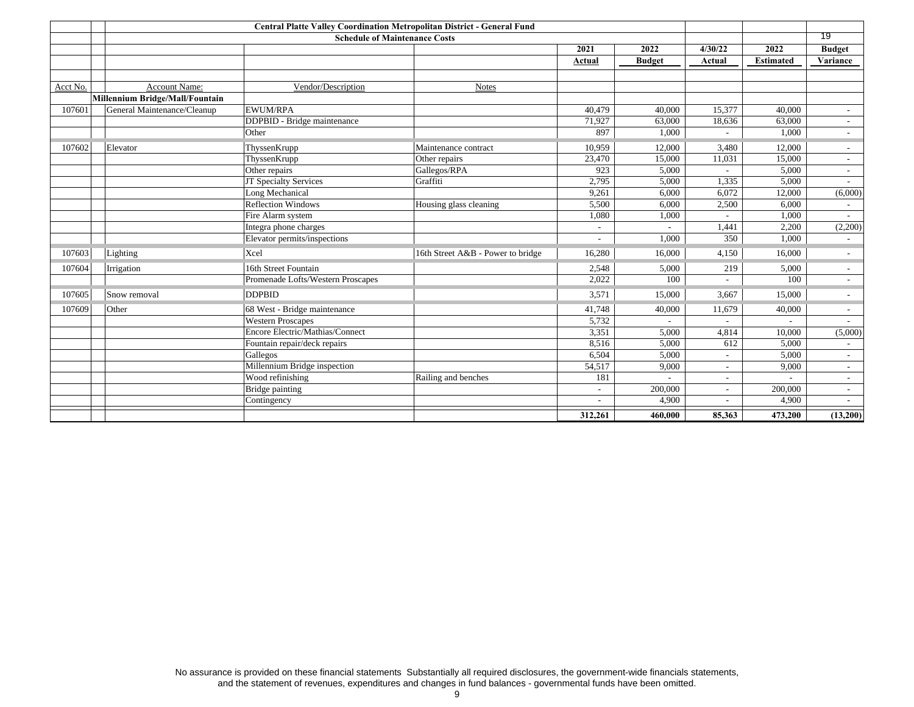|          |                                 | <b>Schedule of Maintenance Costs</b> |                                   |                          |               |                          |                  | 19                        |
|----------|---------------------------------|--------------------------------------|-----------------------------------|--------------------------|---------------|--------------------------|------------------|---------------------------|
|          |                                 |                                      |                                   | 2021                     | 2022          | 4/30/22                  | 2022             | <b>Budget</b>             |
|          |                                 |                                      |                                   | Actual                   | <b>Budget</b> | Actual                   | <b>Estimated</b> | Variance                  |
|          |                                 |                                      |                                   |                          |               |                          |                  |                           |
| Acct No. | Account Name:                   | Vendor/Description                   | <b>Notes</b>                      |                          |               |                          |                  |                           |
|          | Millennium Bridge/Mall/Fountain |                                      |                                   |                          |               |                          |                  |                           |
| 107601   | General Maintenance/Cleanup     | <b>EWUM/RPA</b>                      |                                   | 40,479                   | 40,000        | 15,377                   | 40,000           | $\sim$                    |
|          |                                 | DDPBID - Bridge maintenance          |                                   | 71,927                   | 63,000        | 18,636                   | 63,000           | $\sim$                    |
|          |                                 | Other                                |                                   | 897                      | 1,000         |                          | 1.000            | $\overline{\phantom{a}}$  |
| 107602   | Elevator                        | ThyssenKrupp                         | Maintenance contract              | 10,959                   | 12,000        | 3,480                    | 12,000           | $\mathbb{R}^{\mathbb{Z}}$ |
|          |                                 | ThyssenKrupp                         | Other repairs                     | 23,470                   | 15,000        | 11,031                   | 15,000           | $\sim$                    |
|          |                                 | Other repairs                        | Gallegos/RPA                      | 923                      | 5,000         |                          | 5,000            | $\sim$                    |
|          |                                 | JT Specialty Services                | Graffiti                          | 2,795                    | 5,000         | 1,335                    | 5,000            | $\sim$                    |
|          |                                 | Long Mechanical                      |                                   | 9,261                    | 6,000         | 6,072                    | 12,000           | (6,000)                   |
|          |                                 | <b>Reflection Windows</b>            | Housing glass cleaning            | 5,500                    | 6,000         | 2,500                    | 6,000            | $\sim$                    |
|          |                                 | Fire Alarm system                    |                                   | 1,080                    | 1,000         | $\sim$                   | 1,000            | $\sim$                    |
|          |                                 | Integra phone charges                |                                   | $\sim$                   |               | 1,441                    | 2,200            | (2,200)                   |
|          |                                 | Elevator permits/inspections         |                                   | $\overline{\phantom{a}}$ | 1.000         | 350                      | 1.000            | $\overline{\phantom{a}}$  |
| 107603   | Lighting                        | Xcel                                 | 16th Street A&B - Power to bridge | 16,280                   | 16,000        | 4,150                    | 16,000           | $\overline{a}$            |
| 107604   | Irrigation                      | 16th Street Fountain                 |                                   | 2,548                    | 5,000         | 219                      | 5,000            | $\sim$                    |
|          |                                 | Promenade Lofts/Western Proscapes    |                                   | 2,022                    | 100           | $\overline{\phantom{0}}$ | 100              | $\sim$                    |
| 107605   | Snow removal                    | <b>DDPBID</b>                        |                                   | 3,571                    | 15,000        | 3,667                    | 15,000           | $\overline{a}$            |
| 107609   | Other                           | 68 West - Bridge maintenance         |                                   | 41,748                   | 40,000        | 11,679                   | 40,000           | $\sim$                    |
|          |                                 | <b>Western Proscapes</b>             |                                   | 5,732                    |               |                          |                  | $\overline{\phantom{a}}$  |
|          |                                 | Encore Electric/Mathias/Connect      |                                   | 3,351                    | 5,000         | 4,814                    | 10,000           | (5,000)                   |
|          |                                 | Fountain repair/deck repairs         |                                   | 8,516                    | 5,000         | 612                      | 5,000            | $\overline{a}$            |
|          |                                 | Gallegos                             |                                   | 6,504                    | 5,000         | $\sim$                   | 5,000            | $\sim$                    |
|          |                                 | Millennium Bridge inspection         |                                   | 54,517                   | 9,000         | $\overline{\phantom{0}}$ | 9,000            | $\overline{\phantom{a}}$  |
|          |                                 | Wood refinishing                     | Railing and benches               | 181                      |               | $\overline{\phantom{a}}$ |                  | $\overline{\phantom{a}}$  |
|          |                                 | <b>Bridge painting</b>               |                                   | $\overline{\phantom{a}}$ | 200,000       | $\sim$                   | 200,000          | $\sim$                    |
|          |                                 | Contingency                          |                                   | $\overline{a}$           | 4,900         | $\overline{\phantom{0}}$ | 4,900            | $\sim$                    |
|          |                                 |                                      |                                   | 312,261                  | 460,000       | 85,363                   | 473,200          | (13,200)                  |

No assurance is provided on these financial statements Substantially all required disclosures, the government-wide financials statements,<br>and the statement of revenues, expenditures and changes in fund balances - governmen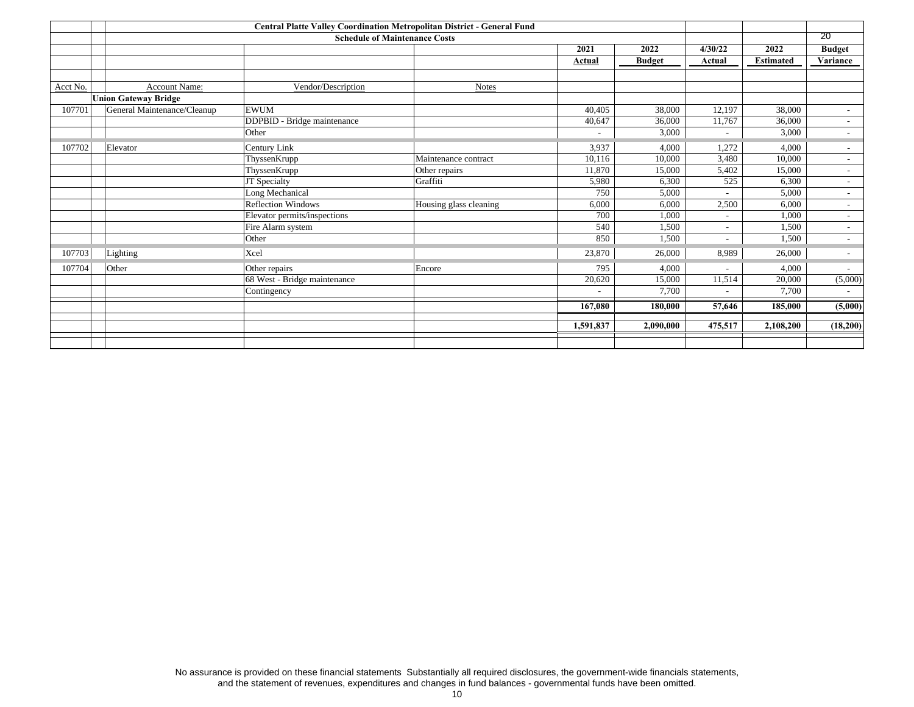|          |                             |                              |                        | 20                       |               |                          |                  |                          |
|----------|-----------------------------|------------------------------|------------------------|--------------------------|---------------|--------------------------|------------------|--------------------------|
|          |                             |                              |                        | 2021                     | 2022          | 4/30/22                  | 2022             | <b>Budget</b>            |
|          |                             |                              |                        | Actual                   | <b>Budget</b> | Actual                   | <b>Estimated</b> | Variance                 |
|          |                             |                              |                        |                          |               |                          |                  |                          |
| Acct No. | Account Name:               | Vendor/Description           | <b>Notes</b>           |                          |               |                          |                  |                          |
|          | <b>Union Gateway Bridge</b> |                              |                        |                          |               |                          |                  |                          |
| 107701   | General Maintenance/Cleanup | <b>EWUM</b>                  |                        | 40.405                   | 38,000        | 12,197                   | 38,000           | $\sim$                   |
|          |                             | DDPBID - Bridge maintenance  |                        | 40,647                   | 36,000        | 11,767                   | 36,000           | $\sim$                   |
|          |                             | Other                        |                        |                          | 3,000         | $\overline{\phantom{a}}$ | 3,000            | $\sim$                   |
| 107702   | Elevator                    | Century Link                 |                        | 3,937                    | 4.000         | 1,272                    | 4,000            | $\overline{\phantom{a}}$ |
|          |                             | ThyssenKrupp                 | Maintenance contract   | 10,116                   | 10,000        | 3,480                    | 10,000           | $\sim$                   |
|          |                             | ThyssenKrupp                 | Other repairs          | 11,870                   | 15,000        | 5,402                    | 15,000           | $\sim$                   |
|          |                             | JT Specialty                 | Graffiti               | 5,980                    | 6,300         | 525                      | 6,300            | $\overline{\phantom{a}}$ |
|          |                             | Long Mechanical              |                        | 750                      | 5,000         | $\sim$                   | 5,000            | $\sim$                   |
|          |                             | <b>Reflection Windows</b>    | Housing glass cleaning | 6,000                    | 6,000         | 2,500                    | 6,000            | $\sim$                   |
|          |                             | Elevator permits/inspections |                        | 700                      | 1,000         | $\sim$                   | 1,000            | $\sim$                   |
|          |                             | Fire Alarm system            |                        | 540                      | 1,500         | $\sim$                   | 1,500            | $\sim$                   |
|          |                             | Other                        |                        | 850                      | 1,500         | $\overline{\phantom{a}}$ | 1,500            | $\sim$                   |
| 107703   | Lighting                    | Xcel                         |                        | 23,870                   | 26,000        | 8,989                    | 26,000           | $\blacksquare$           |
| 107704   | Other                       | Other repairs                | Encore                 | 795                      | 4,000         | $\sim$                   | 4,000            | $\sim$                   |
|          |                             | 68 West - Bridge maintenance |                        | 20,620                   | 15,000        | 11,514                   | 20,000           | (5,000)                  |
|          |                             | Contingency                  |                        | $\overline{\phantom{a}}$ | 7,700         |                          | 7,700            | $\sim$                   |
|          |                             |                              |                        | 167,080                  | 180,000       | 57,646                   | 185,000          | (5,000)                  |
|          |                             |                              |                        |                          |               |                          |                  |                          |
|          |                             |                              |                        | 1,591,837                | 2,090,000     | 475,517                  | 2,108,200        | (18,200)                 |
|          |                             |                              |                        |                          |               |                          |                  |                          |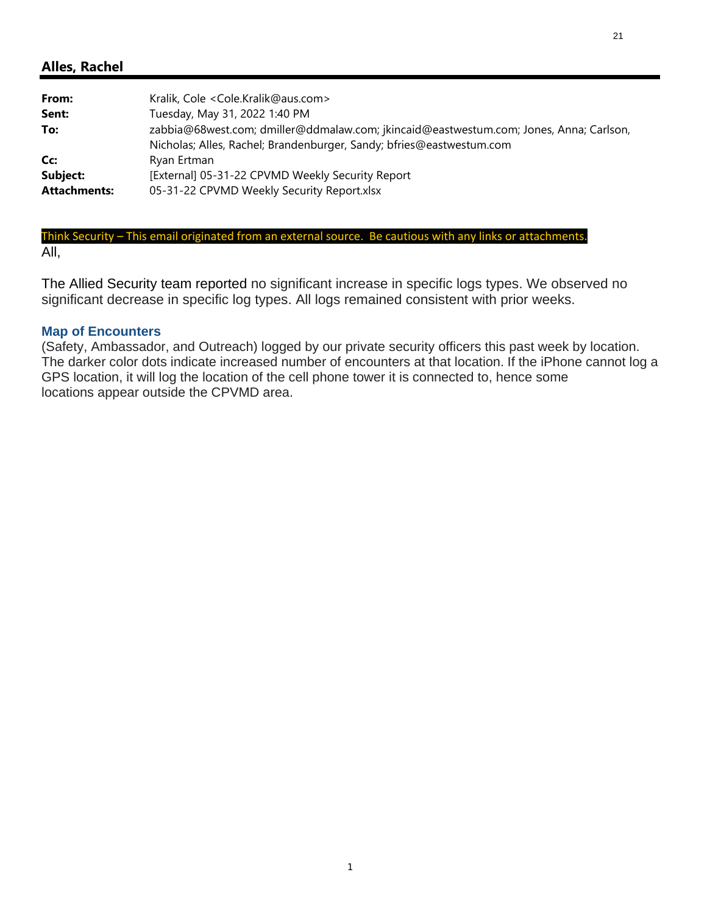<span id="page-20-0"></span>

| From:                           | Kralik, Cole < Cole.Kralik@aus.com>                                                                                                                            |
|---------------------------------|----------------------------------------------------------------------------------------------------------------------------------------------------------------|
| Sent:                           | Tuesday, May 31, 2022 1:40 PM                                                                                                                                  |
| To:                             | zabbia@68west.com; dmiller@ddmalaw.com; jkincaid@eastwestum.com; Jones, Anna; Carlson,<br>Nicholas; Alles, Rachel; Brandenburger, Sandy; bfries@eastwestum.com |
| Cc:                             | Ryan Ertman                                                                                                                                                    |
| Subject:<br><b>Attachments:</b> | [External] 05-31-22 CPVMD Weekly Security Report<br>05-31-22 CPVMD Weekly Security Report.xlsx                                                                 |
|                                 |                                                                                                                                                                |

#### Think Security – This email originated from an external source. Be cautious with any links or attachments. All,

The Allied Security team reported no significant increase in specific logs types. We observed no significant decrease in specific log types. All logs remained consistent with prior weeks.

#### **Map of Encounters**

(Safety, Ambassador, and Outreach) logged by our private security officers this past week by location. The darker color dots indicate increased number of encounters at that location. If the iPhone cannot log a GPS location, it will log the location of the cell phone tower it is connected to, hence some locations appear outside the CPVMD area.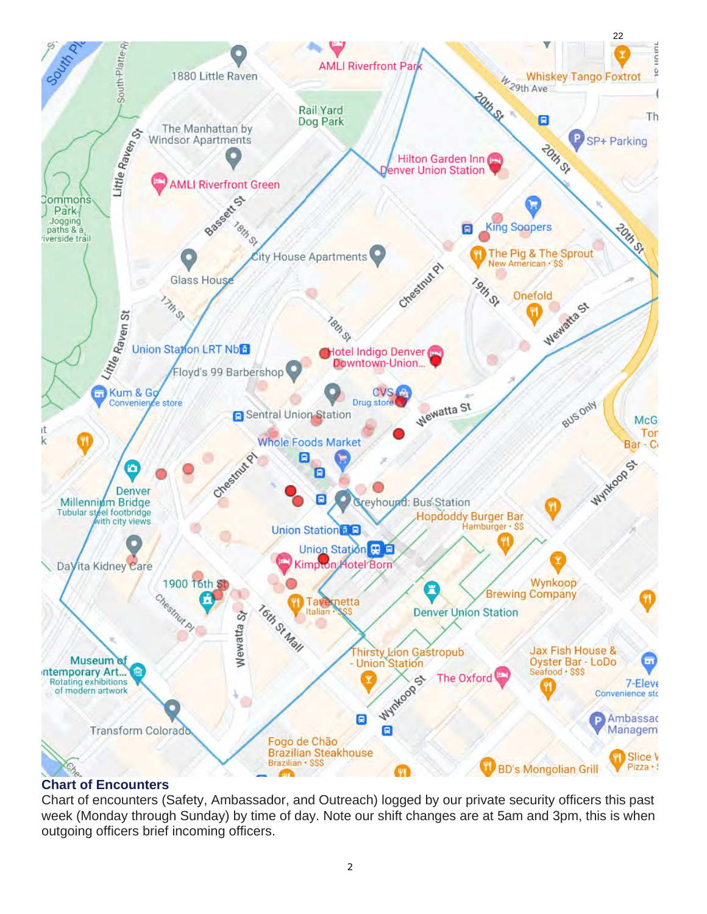

### **Chart of Encounters**

Chart of encounters (Safety, Ambassador, and Outreach) logged by our private security officers this past week (Monday through Sunday) by time of day. Note our shift changes are at 5am and 3pm, this is when outgoing officers brief incoming officers.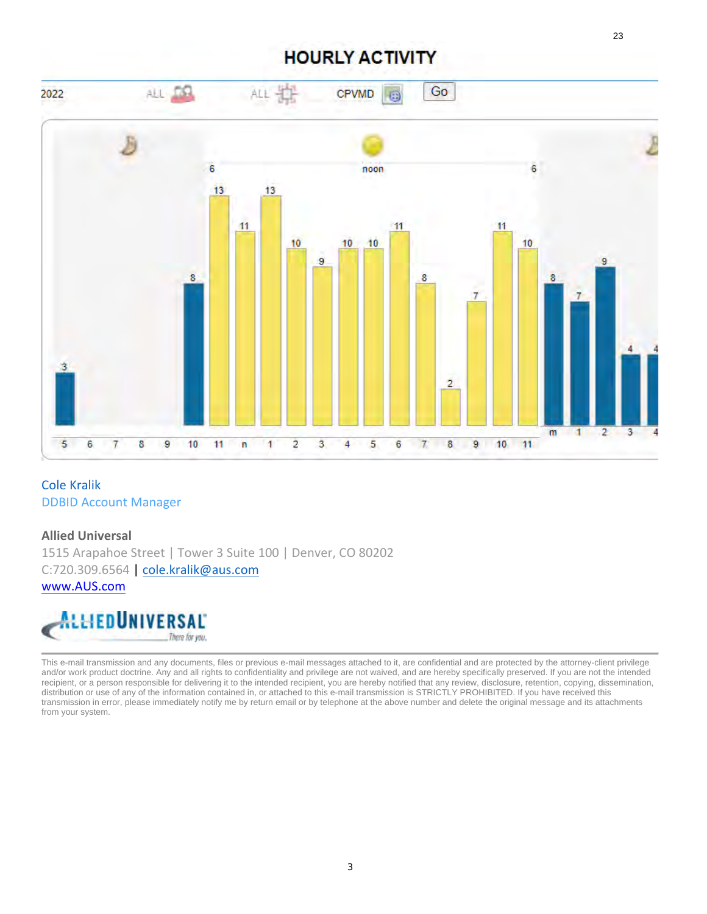# **HOURLY ACTIVITY**



#### Cole Kralik DDBID Account Manager

# **Allied Universal** 1515 Arapahoe Street | Tower 3 Suite 100 | Denver, CO 80202 C:720.309.6564 | cole.kralik@aus.com

www.AUS.com



This e-mail transmission and any documents, files or previous e-mail messages attached to it, are confidential and are protected by the attorney-client privilege and/or work product doctrine. Any and all rights to confidentiality and privilege are not waived, and are hereby specifically preserved. If you are not the intended recipient, or a person responsible for delivering it to the intended recipient, you are hereby notified that any review, disclosure, retention, copying, dissemination, distribution or use of any of the information contained in, or attached to this e-mail transmission is STRICTLY PROHIBITED. If you have received this transmission in error, please immediately notify me by return email or by telephone at the above number and delete the original message and its attachments from your system.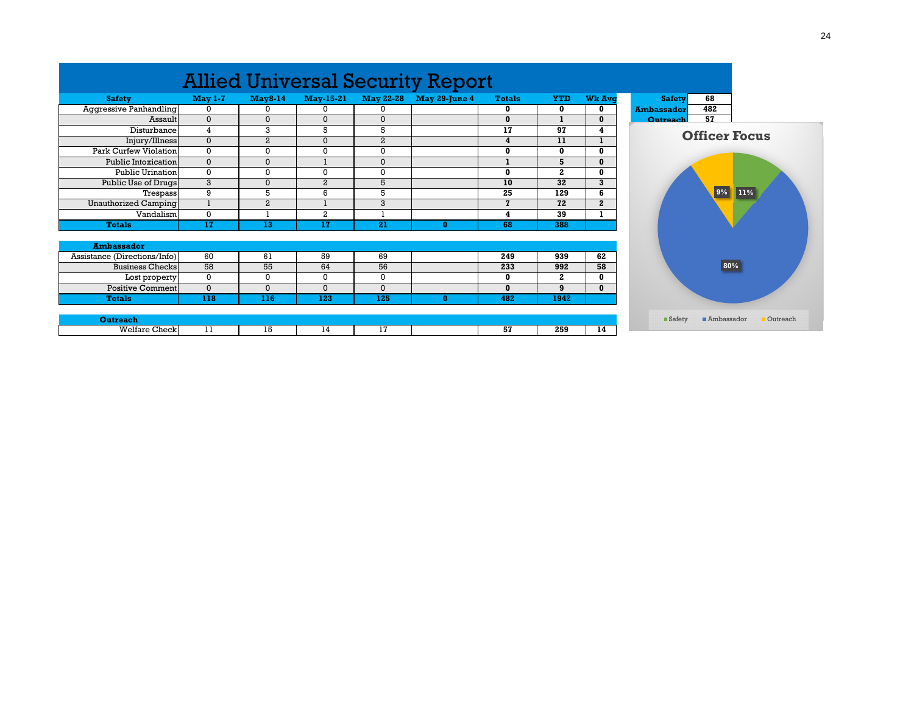|                              |                |                |                  |                  | <b>Allied Universal Security Report</b> |               |              |               |                   |  |
|------------------------------|----------------|----------------|------------------|------------------|-----------------------------------------|---------------|--------------|---------------|-------------------|--|
| <b>Safety</b>                | <b>May 1-7</b> | <b>May8-14</b> | <b>May-15-21</b> | <b>May 22-28</b> | <b>May 29-June 4</b>                    | <b>Totals</b> | <b>YTD</b>   | <b>Wk Ava</b> | <b>Safety</b>     |  |
| Aggressive Panhandling       | 0              | 0              | 0                | 0                |                                         | $\bf{0}$      | 0            | 0             | <b>Ambassador</b> |  |
| Assault                      | $\Omega$       | $\Omega$       | $\Omega$         | $\Omega$         |                                         | $\bf{0}$      |              | $\mathbf{0}$  | Outreach          |  |
| Disturbance                  | 4              | 3              | 5                | 5                |                                         | 17            | 97           | 4             | <b>Officer Fo</b> |  |
| Injury/Illness               | $\Omega$       | $\overline{a}$ | $\mathbf{0}$     | $\overline{a}$   |                                         | 4             | 11           |               |                   |  |
| Park Curfew Violation        | $\mathbf 0$    | 0              | 0                | 0                |                                         | 0             | $\bf{0}$     | $\bf{0}$      |                   |  |
| Public Intoxication          | $\mathbf 0$    | $\Omega$       |                  | $\mathbf{0}$     |                                         |               | 5            | $\Omega$      |                   |  |
| <b>Public Urination</b>      | $\Omega$       | 0              | 0                | $\mathbf 0$      |                                         | $\bf{0}$      | $\mathbf{2}$ | $\mathbf{0}$  |                   |  |
| Public Use of Drugs          | 3              | $\Omega$       | $\overline{a}$   | 5                |                                         | 10            | 32           | 3             |                   |  |
| Trespass                     | 9              | 5              | 6                | 5                |                                         | 25            | 129          | 6             |                   |  |
| Unauthorized Camping         |                | $\overline{a}$ |                  | 3                |                                         | $\mathbf{z}$  | 72           | $\mathbf{2}$  |                   |  |
| Vandalism                    | 0              |                | 2                |                  |                                         | 4             | 39           |               |                   |  |
| <b>Totals</b>                | 17             | 13             | 17               | 21               | $\bf{0}$                                | 68            | 388          |               |                   |  |
| <b>Ambassador</b>            |                |                |                  |                  |                                         |               |              |               |                   |  |
| Assistance (Directions/Info) | 60             | 61             | 59               | 69               |                                         | 249           | 939          | 62            |                   |  |
| <b>Business Checks</b>       | 58             | 55             | 64               | 56               |                                         | 233           | 992          | 58            |                   |  |
| Lost property                | 0              | 0              | 0                | 0                |                                         | $\bf{0}$      | $\mathbf{2}$ | $\bf{0}$      |                   |  |
| <b>Positive Comment</b>      | $\mathbf{0}$   | $\mathbf{0}$   | $\Omega$         | $\mathbf{0}$     |                                         | $\mathbf{0}$  | 9            | $\bf{0}$      |                   |  |
| <b>Totals</b>                | 118            | 116            | 123              | 125              | $\bf{0}$                                | 482           | 1942         |               |                   |  |
| <b>Outreach</b>              |                |                |                  |                  |                                         |               |              |               | <b>Safety</b>     |  |
| <b>Welfare Check</b>         | 11             | 15             | 14               | 17               |                                         | 57            | 259          | 14            |                   |  |
|                              |                |                |                  |                  |                                         |               |              |               |                   |  |

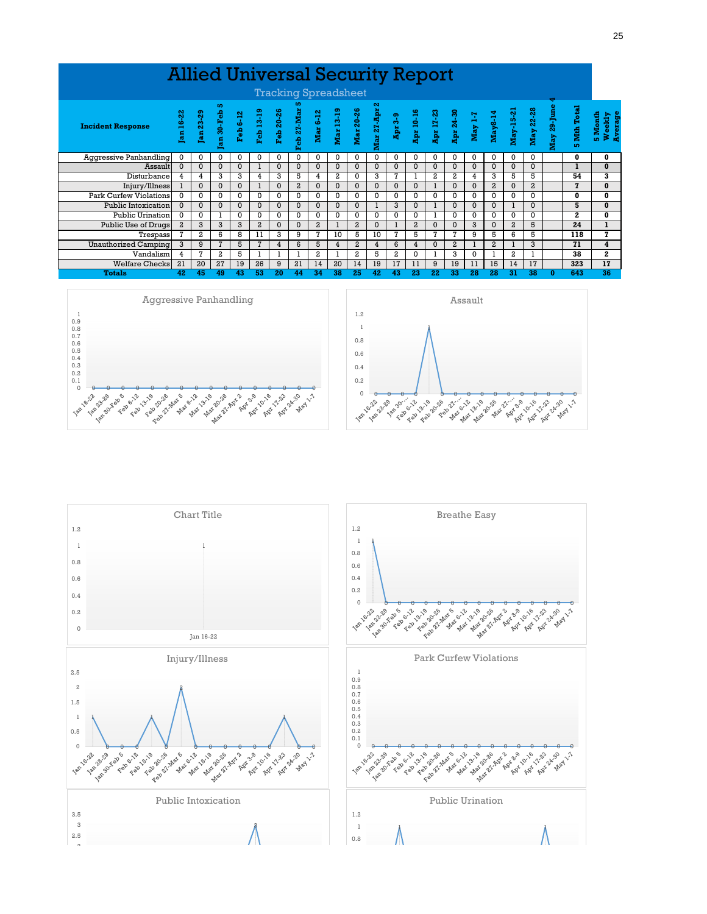|                               | <b>Allied Universal Security Report</b> |          |                |          |                 |                |                |                |          |                |                |          |                                                                                                                                                                                                                                                                                                                                                                          |          |                |          |                |                |                |              |                        |                              |
|-------------------------------|-----------------------------------------|----------|----------------|----------|-----------------|----------------|----------------|----------------|----------|----------------|----------------|----------|--------------------------------------------------------------------------------------------------------------------------------------------------------------------------------------------------------------------------------------------------------------------------------------------------------------------------------------------------------------------------|----------|----------------|----------|----------------|----------------|----------------|--------------|------------------------|------------------------------|
|                               | <b>Tracking Spreadsheet</b>             |          |                |          |                 |                |                |                |          |                |                |          |                                                                                                                                                                                                                                                                                                                                                                          |          |                |          |                |                |                |              |                        |                              |
| <b>Incident Response</b>      | Jan 16-22                               |          | m              |          |                 |                |                |                |          |                | Ν              |          | $\begin{array}{lllllllllllllllllllllllllllllllll} & & & & \text{ln 23.29} \\ \text{Im 30-Feb 5-12} & & & & \text{Fcb 13-19} \\ \text{Feb 13-19} & & & & \text{Feb 13-19} \\ \text{Feb 27-Mar 5-26} & & & & \text{Mar 6-12} \\ \text{Maar 6-12} & & & & \text{Maar 27-Apr 29} \\ \text{Maar 27-Apr 29} & & & & \text{Apr 3-9} \\ \text{Apr 11-23} & & & & \text{Apr 14-3$ |          |                |          |                |                |                |              | Mth Total<br><b>IO</b> | 5 Month<br>Weekly<br>Average |
| Aggressive Panhandling        | 0                                       | 0        | 0              | 0        | 0               | 0              | 0              | 0              | 0        | 0              | 0              | 0        | 0                                                                                                                                                                                                                                                                                                                                                                        | 0        | 0              | 0        | 0              | 0              | $\Omega$       |              | 0                      | 0                            |
| Assault                       | $\Omega$                                | $\Omega$ | $\Omega$       | $\Omega$ |                 | $\Omega$       | $\Omega$       | $\Omega$       | $\Omega$ | $\Omega$       | $\Omega$       | $\Omega$ | $\Omega$                                                                                                                                                                                                                                                                                                                                                                 | $\Omega$ | $\Omega$       | $\Omega$ | $\Omega$       | $\Omega$       | $\Omega$       |              |                        | $\bf{0}$                     |
| Disturbance                   | 4                                       | 4        | 3              | 3        | 4               | 3              | 5              | 4              | 2        | $\Omega$       | 3              | 7        |                                                                                                                                                                                                                                                                                                                                                                          | 2        | 2              | 4        | 3              | 5              | 5              |              | 54                     | 3                            |
| Injury/Illness                |                                         | $\Omega$ | $\Omega$       | $\Omega$ |                 | $\Omega$       | $\overline{a}$ | $\Omega$       | $\Omega$ | $\Omega$       | $\Omega$       | $\Omega$ | $\Omega$                                                                                                                                                                                                                                                                                                                                                                 |          | $\Omega$       | $\Omega$ | $\overline{a}$ | $\Omega$       | $\overline{a}$ |              | $\mathbf{z}$           | $\bf{0}$                     |
| <b>Park Curfew Violations</b> | $\Omega$                                | 0        | $\Omega$       | 0        | 0               | $\Omega$       | 0              | $\Omega$       | 0        | 0              | $\Omega$       | 0        | 0                                                                                                                                                                                                                                                                                                                                                                        | 0        | $\Omega$       | $\Omega$ | 0              | 0              | 0              |              | 0                      | 0                            |
| Public Intoxication           | $\Omega$                                | $\Omega$ | $\Omega$       | $\Omega$ | $\Omega$        | $\Omega$       |                | $\Omega$       | $\Omega$ | $\Omega$       |                | 3        | $\Omega$                                                                                                                                                                                                                                                                                                                                                                 |          | $\Omega$       | $\Omega$ | $\Omega$       |                | $\Omega$       |              | 5                      | $\bf{0}$                     |
| <b>Public Urination</b>       | $\Omega$                                | 0        |                | 0        | $\Omega$        | $\Omega$       | 0              | $\Omega$       | 0        | 0              | 0              | 0        | $\Omega$                                                                                                                                                                                                                                                                                                                                                                 |          | 0              | $\Omega$ | 0              | $\Omega$       | $\Omega$       |              | 2                      | 0                            |
| Public Use of Drugs           | $\overline{a}$                          | 3        | 3              | 3        | $\overline{a}$  | $\Omega$       | $\Omega$       | $\overline{a}$ |          | $\overline{a}$ | $\Omega$       |          | $\overline{a}$                                                                                                                                                                                                                                                                                                                                                           | $\Omega$ | $\Omega$       | 3        | $\Omega$       | $\overline{a}$ | 5              |              | 24                     |                              |
| Trespass                      | 7                                       | 2        | 6              | 8        | 11              | 3              | 9              | 7              | 10       | 5              | 10             | 7        | 5                                                                                                                                                                                                                                                                                                                                                                        | 7        | 7              | 9        | 5              | 6              | 5              |              | 118                    | 7                            |
| <b>Unauthorized Camping</b>   | 3                                       | 9        | $\overline{7}$ | 5        | $7\phantom{.0}$ | $\overline{4}$ | 6              | 5              | 4        | $\overline{a}$ | $\overline{4}$ | 6        | 4                                                                                                                                                                                                                                                                                                                                                                        | $\Omega$ | $\overline{a}$ |          | $\overline{a}$ |                | 3              |              | 71                     | 4                            |
| Vandalism                     | 4                                       | 7        | $\overline{a}$ | 5        |                 |                |                | 2              |          | 2              | 5              | 2        | $\Omega$                                                                                                                                                                                                                                                                                                                                                                 |          | 3              | $\Omega$ |                | $\overline{2}$ |                |              | 38                     | $\mathbf{2}$                 |
| <b>Welfare Checks</b>         | 21                                      | 20       | 27             | 19       | 26              | 9              | 21             | 14             | 20       | 14             | 19             | 17       | 11                                                                                                                                                                                                                                                                                                                                                                       | 9        | 19             | 11       | 15             | 14             | 17             |              | 323                    | 17                           |
| <b>Totals</b>                 | 42                                      | 45       | 49             | 43       | 53              | 20             | 44             | 34             | 38       | 25             | 42             | 43       | 23                                                                                                                                                                                                                                                                                                                                                                       | 22       | 33             | 28       | 28             | 31             | 38             | $\mathbf{0}$ | 643                    | 36                           |





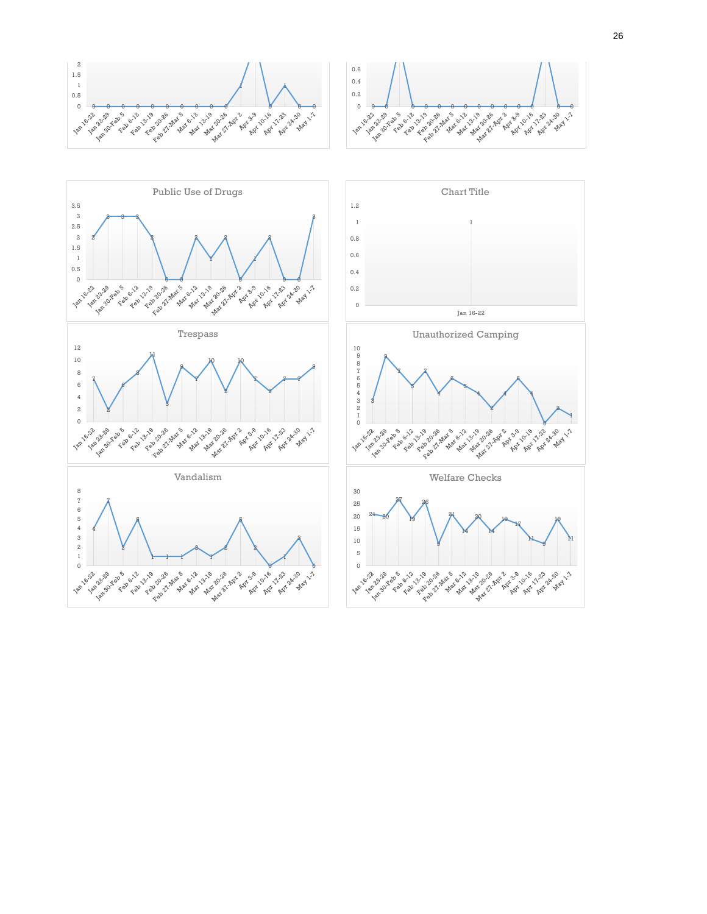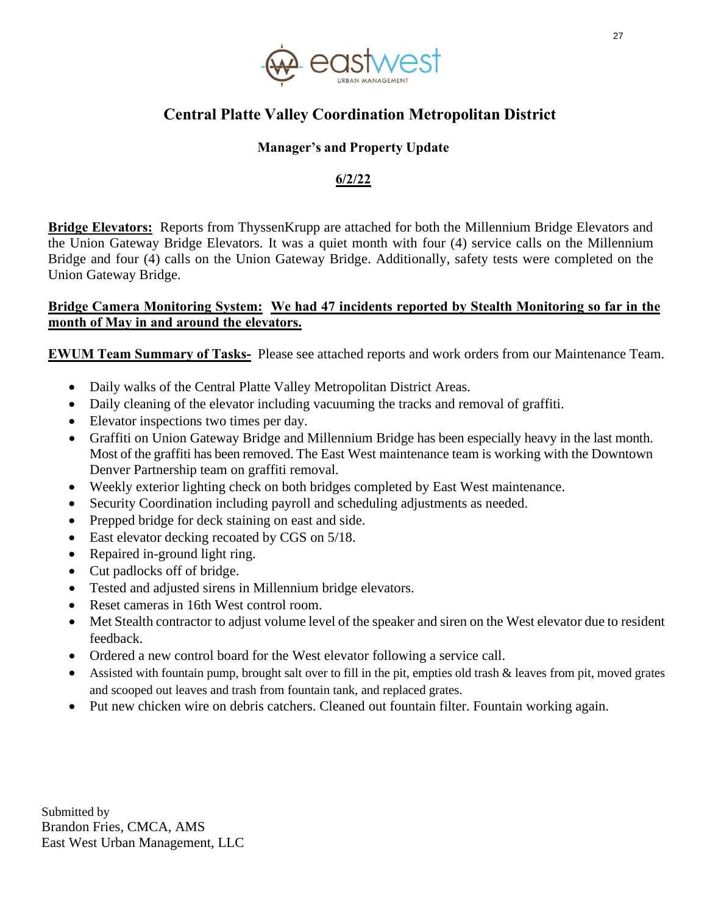

# <span id="page-26-0"></span> **Central Platte Valley Coordination Metropolitan District**

### **Manager's and Property Update**

### **6/2/22**

**Bridge Elevators:** Reports from ThyssenKrupp are attached for both the Millennium Bridge Elevators and the Union Gateway Bridge Elevators. It was a quiet month with four (4) service calls on the Millennium Bridge and four (4) calls on the Union Gateway Bridge. Additionally, safety tests were completed on the Union Gateway Bridge.

#### **Bridge Camera Monitoring System: We had 47 incidents reported by Stealth Monitoring so far in the month of May in and around the elevators.**

**EWUM Team Summary of Tasks-** Please see attached reports and work orders from our Maintenance Team.

- Daily walks of the Central Platte Valley Metropolitan District Areas.
- Daily cleaning of the elevator including vacuuming the tracks and removal of graffiti.
- Elevator inspections two times per day.
- Graffiti on Union Gateway Bridge and Millennium Bridge has been especially heavy in the last month. Most of the graffiti has been removed. The East West maintenance team is working with the Downtown Denver Partnership team on graffiti removal.
- Weekly exterior lighting check on both bridges completed by East West maintenance.
- Security Coordination including payroll and scheduling adjustments as needed.
- Prepped bridge for deck staining on east and side.
- East elevator decking recoated by CGS on  $5/18$ .
- Repaired in-ground light ring.
- Cut padlocks off of bridge.
- Tested and adjusted sirens in Millennium bridge elevators.
- Reset cameras in 16th West control room.
- Met Stealth contractor to adjust volume level of the speaker and siren on the West elevator due to resident feedback.
- Ordered a new control board for the West elevator following a service call.
- Assisted with fountain pump, brought salt over to fill in the pit, empties old trash & leaves from pit, moved grates and scooped out leaves and trash from fountain tank, and replaced grates.
- Put new chicken wire on debris catchers. Cleaned out fountain filter. Fountain working again.

Submitted by Brandon Fries, CMCA, AMS East West Urban Management, LLC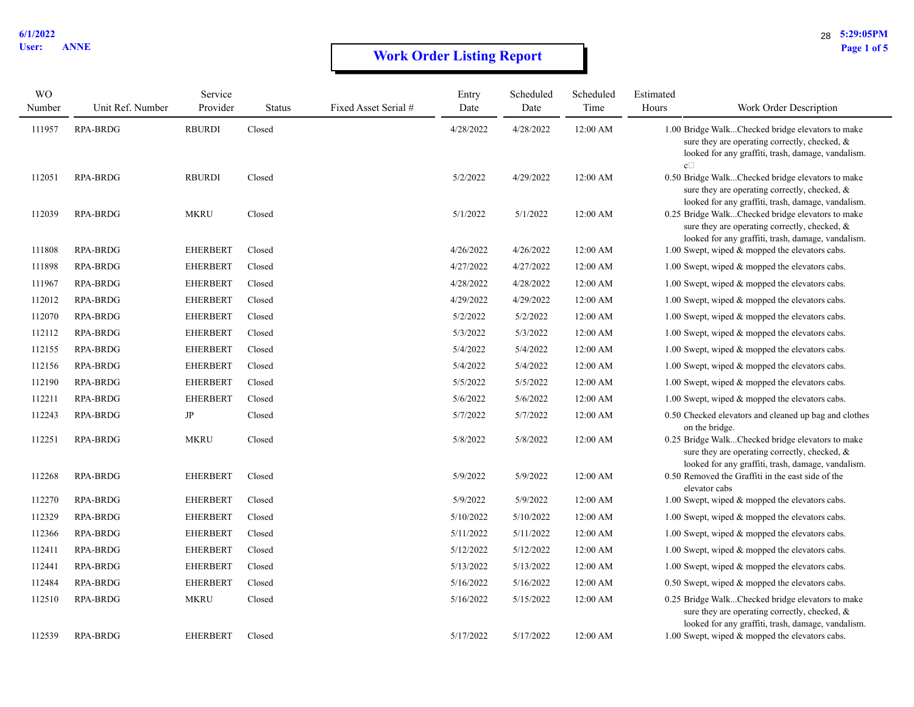# **Work Order Listing Report** Page 1 of 5

| <b>WO</b> |                  | Service         |               |                      | Entry     | Scheduled | Scheduled | Estimated            |                                                                                                                                                         |
|-----------|------------------|-----------------|---------------|----------------------|-----------|-----------|-----------|----------------------|---------------------------------------------------------------------------------------------------------------------------------------------------------|
| Number    | Unit Ref. Number | Provider        | <b>Status</b> | Fixed Asset Serial # | Date      | Date      | Time      | Hours                | Work Order Description                                                                                                                                  |
| 111957    | RPA-BRDG         | <b>RBURDI</b>   | Closed        |                      | 4/28/2022 | 4/28/2022 | 12:00 AM  | $\mathbf{c} \, \Box$ | 1.00 Bridge WalkChecked bridge elevators to make<br>sure they are operating correctly, checked, &<br>looked for any graffiti, trash, damage, vandalism. |
| 112051    | <b>RPA-BRDG</b>  | <b>RBURDI</b>   | Closed        |                      | 5/2/2022  | 4/29/2022 | 12:00 AM  |                      | 0.50 Bridge WalkChecked bridge elevators to make<br>sure they are operating correctly, checked, &<br>looked for any graffiti, trash, damage, vandalism. |
| 112039    | RPA-BRDG         | <b>MKRU</b>     | Closed        |                      | 5/1/2022  | 5/1/2022  | 12:00 AM  |                      | 0.25 Bridge WalkChecked bridge elevators to make<br>sure they are operating correctly, checked, &<br>looked for any graffiti, trash, damage, vandalism. |
| 111808    | RPA-BRDG         | <b>EHERBERT</b> | Closed        |                      | 4/26/2022 | 4/26/2022 | 12:00 AM  |                      | 1.00 Swept, wiped & mopped the elevators cabs.                                                                                                          |
| 111898    | RPA-BRDG         | <b>EHERBERT</b> | Closed        |                      | 4/27/2022 | 4/27/2022 | 12:00 AM  |                      | 1.00 Swept, wiped & mopped the elevators cabs.                                                                                                          |
| 111967    | <b>RPA-BRDG</b>  | <b>EHERBERT</b> | Closed        |                      | 4/28/2022 | 4/28/2022 | 12:00 AM  |                      | 1.00 Swept, wiped & mopped the elevators cabs.                                                                                                          |
| 112012    | RPA-BRDG         | <b>EHERBERT</b> | Closed        |                      | 4/29/2022 | 4/29/2022 | 12:00 AM  |                      | 1.00 Swept, wiped & mopped the elevators cabs.                                                                                                          |
| 112070    | RPA-BRDG         | <b>EHERBERT</b> | Closed        |                      | 5/2/2022  | 5/2/2022  | 12:00 AM  |                      | 1.00 Swept, wiped & mopped the elevators cabs.                                                                                                          |
| 112112    | <b>RPA-BRDG</b>  | <b>EHERBERT</b> | Closed        |                      | 5/3/2022  | 5/3/2022  | 12:00 AM  |                      | 1.00 Swept, wiped & mopped the elevators cabs.                                                                                                          |
| 112155    | <b>RPA-BRDG</b>  | <b>EHERBERT</b> | Closed        |                      | 5/4/2022  | 5/4/2022  | 12:00 AM  |                      | 1.00 Swept, wiped & mopped the elevators cabs.                                                                                                          |
| 112156    | RPA-BRDG         | <b>EHERBERT</b> | Closed        |                      | 5/4/2022  | 5/4/2022  | 12:00 AM  |                      | 1.00 Swept, wiped & mopped the elevators cabs.                                                                                                          |
| 112190    | RPA-BRDG         | <b>EHERBERT</b> | Closed        |                      | 5/5/2022  | 5/5/2022  | 12:00 AM  |                      | 1.00 Swept, wiped & mopped the elevators cabs.                                                                                                          |
| 112211    | RPA-BRDG         | <b>EHERBERT</b> | Closed        |                      | 5/6/2022  | 5/6/2022  | 12:00 AM  |                      | 1.00 Swept, wiped & mopped the elevators cabs.                                                                                                          |
| 112243    | <b>RPA-BRDG</b>  | JP              | Closed        |                      | 5/7/2022  | 5/7/2022  | 12:00 AM  |                      | 0.50 Checked elevators and cleaned up bag and clothes<br>on the bridge.                                                                                 |
| 112251    | RPA-BRDG         | MKRU            | Closed        |                      | 5/8/2022  | 5/8/2022  | 12:00 AM  |                      | 0.25 Bridge WalkChecked bridge elevators to make<br>sure they are operating correctly, checked, &<br>looked for any graffiti, trash, damage, vandalism. |
| 112268    | RPA-BRDG         | <b>EHERBERT</b> | Closed        |                      | 5/9/2022  | 5/9/2022  | 12:00 AM  |                      | 0.50 Removed the Graffiti in the east side of the<br>elevator cabs                                                                                      |
| 112270    | RPA-BRDG         | <b>EHERBERT</b> | Closed        |                      | 5/9/2022  | 5/9/2022  | 12:00 AM  |                      | 1.00 Swept, wiped & mopped the elevators cabs.                                                                                                          |
| 112329    | RPA-BRDG         | <b>EHERBERT</b> | Closed        |                      | 5/10/2022 | 5/10/2022 | 12:00 AM  |                      | 1.00 Swept, wiped & mopped the elevators cabs.                                                                                                          |
| 112366    | RPA-BRDG         | <b>EHERBERT</b> | Closed        |                      | 5/11/2022 | 5/11/2022 | 12:00 AM  |                      | 1.00 Swept, wiped & mopped the elevators cabs.                                                                                                          |
| 112411    | RPA-BRDG         | <b>EHERBERT</b> | Closed        |                      | 5/12/2022 | 5/12/2022 | 12:00 AM  |                      | 1.00 Swept, wiped & mopped the elevators cabs.                                                                                                          |
| 112441    | RPA-BRDG         | <b>EHERBERT</b> | Closed        |                      | 5/13/2022 | 5/13/2022 | 12:00 AM  |                      | 1.00 Swept, wiped & mopped the elevators cabs.                                                                                                          |
| 112484    | RPA-BRDG         | <b>EHERBERT</b> | Closed        |                      | 5/16/2022 | 5/16/2022 | 12:00 AM  |                      | 0.50 Swept, wiped & mopped the elevators cabs.                                                                                                          |
| 112510    | RPA-BRDG         | <b>MKRU</b>     | Closed        |                      | 5/16/2022 | 5/15/2022 | 12:00 AM  |                      | 0.25 Bridge WalkChecked bridge elevators to make<br>sure they are operating correctly, checked, &<br>looked for any graffiti, trash, damage, vandalism. |
| 112539    | <b>RPA-BRDG</b>  | <b>EHERBERT</b> | Closed        |                      | 5/17/2022 | 5/17/2022 | 12:00 AM  |                      | 1.00 Swept, wiped & mopped the elevators cabs.                                                                                                          |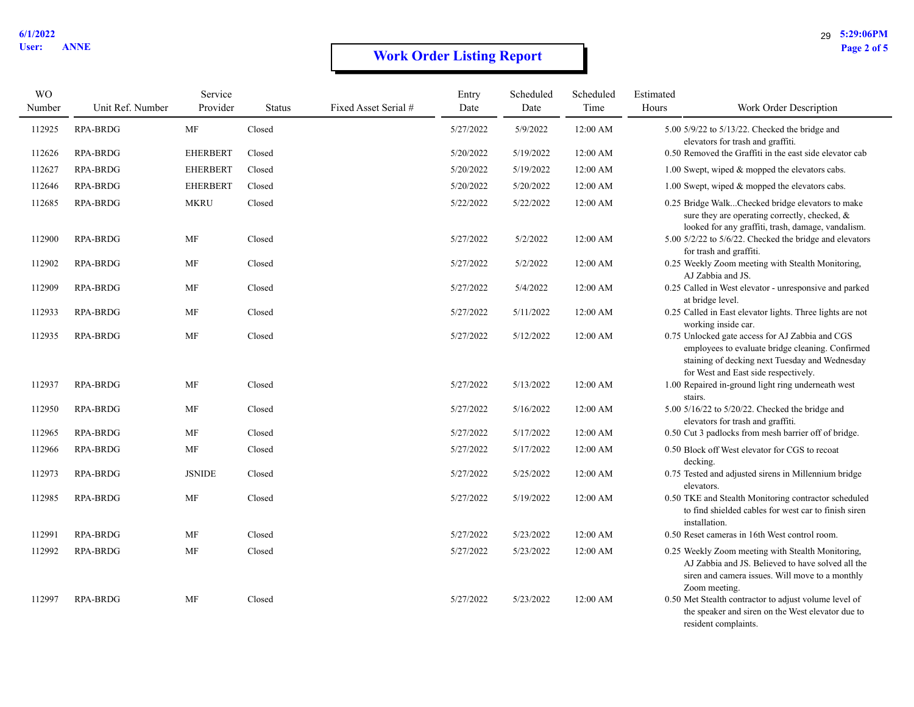# **Work Order Listing Report** Page 2 of 5

| <b>WO</b><br>Number | Unit Ref. Number | Service<br>Provider | <b>Status</b> | Fixed Asset Serial # | Entry<br>Date | Scheduled<br>Date | Scheduled<br>Time | Estimated<br>Hours | Work Order Description                                                                                                                                                                        |
|---------------------|------------------|---------------------|---------------|----------------------|---------------|-------------------|-------------------|--------------------|-----------------------------------------------------------------------------------------------------------------------------------------------------------------------------------------------|
| 112925              | <b>RPA-BRDG</b>  | MF                  | Closed        |                      | 5/27/2022     | 5/9/2022          | 12:00 AM          |                    | 5.00 5/9/22 to 5/13/22. Checked the bridge and<br>elevators for trash and graffiti.                                                                                                           |
| 112626              | RPA-BRDG         | <b>EHERBERT</b>     | Closed        |                      | 5/20/2022     | 5/19/2022         | 12:00 AM          |                    | 0.50 Removed the Graffiti in the east side elevator cab                                                                                                                                       |
| 112627              | <b>RPA-BRDG</b>  | <b>EHERBERT</b>     | Closed        |                      | 5/20/2022     | 5/19/2022         | 12:00 AM          |                    | 1.00 Swept, wiped $&$ mopped the elevators cabs.                                                                                                                                              |
| 112646              | <b>RPA-BRDG</b>  | <b>EHERBERT</b>     | Closed        |                      | 5/20/2022     | 5/20/2022         | 12:00 AM          |                    | 1.00 Swept, wiped & mopped the elevators cabs.                                                                                                                                                |
| 112685              | RPA-BRDG         | <b>MKRU</b>         | Closed        |                      | 5/22/2022     | 5/22/2022         | 12:00 AM          |                    | 0.25 Bridge WalkChecked bridge elevators to make<br>sure they are operating correctly, checked, &<br>looked for any graffiti, trash, damage, vandalism.                                       |
| 112900              | <b>RPA-BRDG</b>  | MF                  | Closed        |                      | 5/27/2022     | 5/2/2022          | 12:00 AM          |                    | 5.00 5/2/22 to 5/6/22. Checked the bridge and elevators<br>for trash and graffiti.                                                                                                            |
| 112902              | <b>RPA-BRDG</b>  | MF                  | Closed        |                      | 5/27/2022     | 5/2/2022          | 12:00 AM          |                    | 0.25 Weekly Zoom meeting with Stealth Monitoring,<br>AJ Zabbia and JS.                                                                                                                        |
| 112909              | RPA-BRDG         | MF                  | Closed        |                      | 5/27/2022     | 5/4/2022          | 12:00 AM          |                    | 0.25 Called in West elevator - unresponsive and parked<br>at bridge level.                                                                                                                    |
| 112933              | <b>RPA-BRDG</b>  | MF                  | Closed        |                      | 5/27/2022     | 5/11/2022         | 12:00 AM          |                    | 0.25 Called in East elevator lights. Three lights are not<br>working inside car.                                                                                                              |
| 112935              | <b>RPA-BRDG</b>  | MF                  | Closed        |                      | 5/27/2022     | 5/12/2022         | 12:00 AM          |                    | 0.75 Unlocked gate access for AJ Zabbia and CGS<br>employees to evaluate bridge cleaning. Confirmed<br>staining of decking next Tuesday and Wednesday<br>for West and East side respectively. |
| 112937              | <b>RPA-BRDG</b>  | MF                  | Closed        |                      | 5/27/2022     | 5/13/2022         | 12:00 AM          |                    | 1.00 Repaired in-ground light ring underneath west<br>stairs.                                                                                                                                 |
| 112950              | <b>RPA-BRDG</b>  | MF                  | Closed        |                      | 5/27/2022     | 5/16/2022         | 12:00 AM          |                    | 5.00 5/16/22 to 5/20/22. Checked the bridge and<br>elevators for trash and graffiti.                                                                                                          |
| 112965              | RPA-BRDG         | MF                  | Closed        |                      | 5/27/2022     | 5/17/2022         | 12:00 AM          |                    | 0.50 Cut 3 padlocks from mesh barrier off of bridge.                                                                                                                                          |
| 112966              | RPA-BRDG         | MF                  | Closed        |                      | 5/27/2022     | 5/17/2022         | 12:00 AM          |                    | 0.50 Block off West elevator for CGS to recoat<br>decking.                                                                                                                                    |
| 112973              | <b>RPA-BRDG</b>  | <b>JSNIDE</b>       | Closed        |                      | 5/27/2022     | 5/25/2022         | 12:00 AM          |                    | 0.75 Tested and adjusted sirens in Millennium bridge<br>elevators.                                                                                                                            |
| 112985              | <b>RPA-BRDG</b>  | MF                  | Closed        |                      | 5/27/2022     | 5/19/2022         | 12:00 AM          |                    | 0.50 TKE and Stealth Monitoring contractor scheduled<br>to find shielded cables for west car to finish siren<br>installation.                                                                 |
| 112991              | <b>RPA-BRDG</b>  | MF                  | Closed        |                      | 5/27/2022     | 5/23/2022         | 12:00 AM          |                    | 0.50 Reset cameras in 16th West control room.                                                                                                                                                 |
| 112992              | <b>RPA-BRDG</b>  | MF                  | Closed        |                      | 5/27/2022     | 5/23/2022         | 12:00 AM          |                    | 0.25 Weekly Zoom meeting with Stealth Monitoring,<br>AJ Zabbia and JS. Believed to have solved all the<br>siren and camera issues. Will move to a monthly<br>Zoom meeting.                    |
| 112997              | <b>RPA-BRDG</b>  | MF                  | Closed        |                      | 5/27/2022     | 5/23/2022         | 12:00 AM          |                    | 0.50 Met Stealth contractor to adjust volume level of<br>the speaker and siren on the West elevator due to<br>resident complaints.                                                            |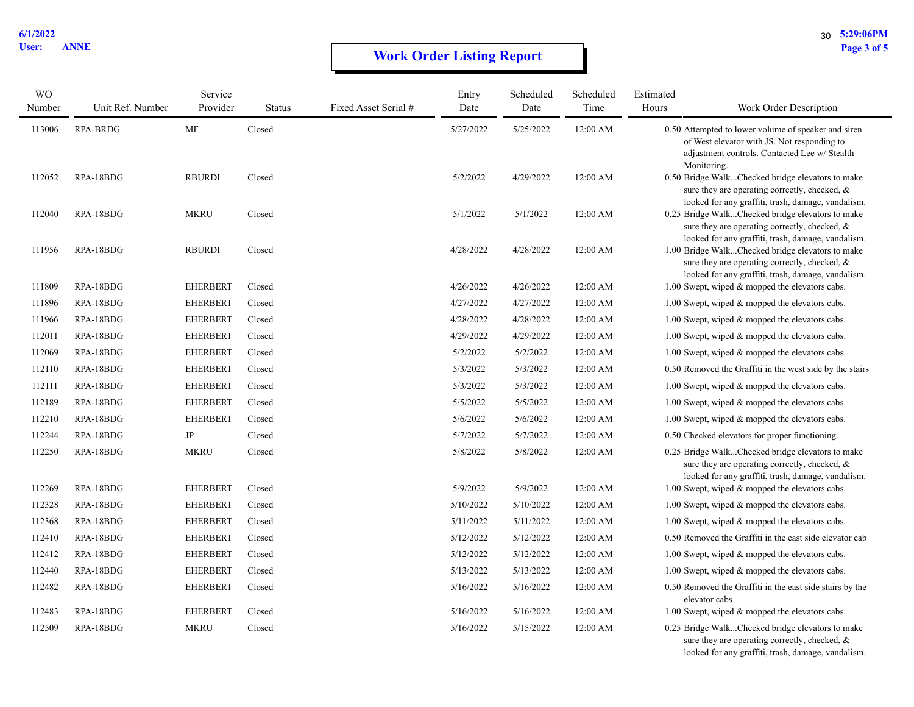# **Work Order Listing Report** Page 3 of 5

| <b>WO</b><br>Number | Unit Ref. Number       | Service<br>Provider            | <b>Status</b>    | Fixed Asset Serial # | Entry<br>Date        | Scheduled<br>Date    | Scheduled<br>Time    | Estimated<br>Hours | Work Order Description                                                                                                                                                                                    |
|---------------------|------------------------|--------------------------------|------------------|----------------------|----------------------|----------------------|----------------------|--------------------|-----------------------------------------------------------------------------------------------------------------------------------------------------------------------------------------------------------|
| 113006              | <b>RPA-BRDG</b>        | MF                             | Closed           |                      | 5/27/2022            | 5/25/2022            | 12:00 AM             |                    | 0.50 Attempted to lower volume of speaker and siren<br>of West elevator with JS. Not responding to<br>adjustment controls. Contacted Lee w/ Stealth<br>Monitoring.                                        |
| 112052              | RPA-18BDG              | <b>RBURDI</b>                  | Closed           |                      | 5/2/2022             | 4/29/2022            | 12:00 AM             |                    | 0.50 Bridge WalkChecked bridge elevators to make<br>sure they are operating correctly, checked, &<br>looked for any graffiti, trash, damage, vandalism.                                                   |
| 112040              | RPA-18BDG              | <b>MKRU</b>                    | Closed           |                      | 5/1/2022             | 5/1/2022             | 12:00 AM             |                    | 0.25 Bridge WalkChecked bridge elevators to make<br>sure they are operating correctly, checked, &<br>looked for any graffiti, trash, damage, vandalism.                                                   |
| 111956              | RPA-18BDG              | <b>RBURDI</b>                  | Closed           |                      | 4/28/2022            | 4/28/2022            | 12:00 AM             |                    | 1.00 Bridge WalkChecked bridge elevators to make<br>sure they are operating correctly, checked, &<br>looked for any graffiti, trash, damage, vandalism.                                                   |
| 111809              | RPA-18BDG              | <b>EHERBERT</b>                | Closed           |                      | 4/26/2022            | 4/26/2022            | 12:00 AM             |                    | 1.00 Swept, wiped & mopped the elevators cabs.                                                                                                                                                            |
| 111896              | RPA-18BDG              | <b>EHERBERT</b>                | Closed           |                      | 4/27/2022            | 4/27/2022            | 12:00 AM             |                    | 1.00 Swept, wiped & mopped the elevators cabs.                                                                                                                                                            |
| 111966              | RPA-18BDG              | <b>EHERBERT</b>                | Closed           |                      | 4/28/2022            | 4/28/2022            | 12:00 AM             |                    | 1.00 Swept, wiped & mopped the elevators cabs.                                                                                                                                                            |
| 112011              | RPA-18BDG              | <b>EHERBERT</b>                | Closed           |                      | 4/29/2022            | 4/29/2022            | 12:00 AM             |                    | 1.00 Swept, wiped & mopped the elevators cabs.                                                                                                                                                            |
| 112069              | RPA-18BDG              | <b>EHERBERT</b>                | Closed           |                      | 5/2/2022             | 5/2/2022             | 12:00 AM             |                    | 1.00 Swept, wiped & mopped the elevators cabs.                                                                                                                                                            |
| 112110              | RPA-18BDG              | <b>EHERBERT</b>                | Closed           |                      | 5/3/2022             | 5/3/2022             | 12:00 AM             |                    | 0.50 Removed the Graffiti in the west side by the stairs                                                                                                                                                  |
| 112111              | RPA-18BDG              | <b>EHERBERT</b>                | Closed           |                      | 5/3/2022             | 5/3/2022             | 12:00 AM             |                    | 1.00 Swept, wiped & mopped the elevators cabs.                                                                                                                                                            |
| 112189              | RPA-18BDG              | <b>EHERBERT</b>                | Closed           |                      | 5/5/2022             | 5/5/2022             | 12:00 AM             |                    | 1.00 Swept, wiped & mopped the elevators cabs.                                                                                                                                                            |
| 112210              | RPA-18BDG              | <b>EHERBERT</b>                | Closed           |                      | 5/6/2022             | 5/6/2022             | 12:00 AM             |                    | 1.00 Swept, wiped & mopped the elevators cabs.                                                                                                                                                            |
| 112244              | RPA-18BDG              | $\rm{JP}$                      | Closed           |                      | 5/7/2022             | 5/7/2022             | 12:00 AM             |                    | 0.50 Checked elevators for proper functioning.                                                                                                                                                            |
| 112250<br>112269    | RPA-18BDG<br>RPA-18BDG | <b>MKRU</b><br><b>EHERBERT</b> | Closed<br>Closed |                      | 5/8/2022<br>5/9/2022 | 5/8/2022<br>5/9/2022 | 12:00 AM<br>12:00 AM |                    | 0.25 Bridge WalkChecked bridge elevators to make<br>sure they are operating correctly, checked, &<br>looked for any graffiti, trash, damage, vandalism.<br>1.00 Swept, wiped & mopped the elevators cabs. |
| 112328              | RPA-18BDG              | <b>EHERBERT</b>                | Closed           |                      | 5/10/2022            | 5/10/2022            | 12:00 AM             |                    | 1.00 Swept, wiped & mopped the elevators cabs.                                                                                                                                                            |
| 112368              | RPA-18BDG              | <b>EHERBERT</b>                | Closed           |                      | 5/11/2022            | 5/11/2022            | 12:00 AM             |                    | 1.00 Swept, wiped & mopped the elevators cabs.                                                                                                                                                            |
| 112410              | RPA-18BDG              | <b>EHERBERT</b>                | Closed           |                      | 5/12/2022            | 5/12/2022            | 12:00 AM             |                    | 0.50 Removed the Graffiti in the east side elevator cab                                                                                                                                                   |
| 112412              | RPA-18BDG              | <b>EHERBERT</b>                | Closed           |                      | 5/12/2022            | 5/12/2022            | 12:00 AM             |                    | 1.00 Swept, wiped & mopped the elevators cabs.                                                                                                                                                            |
| 112440              | RPA-18BDG              | <b>EHERBERT</b>                | Closed           |                      | 5/13/2022            | 5/13/2022            | 12:00 AM             |                    | 1.00 Swept, wiped & mopped the elevators cabs.                                                                                                                                                            |
| 112482              | RPA-18BDG              | <b>EHERBERT</b>                | Closed           |                      | 5/16/2022            | 5/16/2022            | 12:00 AM             |                    | 0.50 Removed the Graffiti in the east side stairs by the<br>elevator cabs                                                                                                                                 |
| 112483              | RPA-18BDG              | <b>EHERBERT</b>                | Closed           |                      | 5/16/2022            | 5/16/2022            | 12:00 AM             |                    | 1.00 Swept, wiped & mopped the elevators cabs.                                                                                                                                                            |
| 112509              | RPA-18BDG              | <b>MKRU</b>                    | Closed           |                      | 5/16/2022            | 5/15/2022            | 12:00 AM             |                    | 0.25 Bridge WalkChecked bridge elevators to make<br>sure they are operating correctly, checked, &                                                                                                         |

looked for any graffiti, trash, damage, vandalism.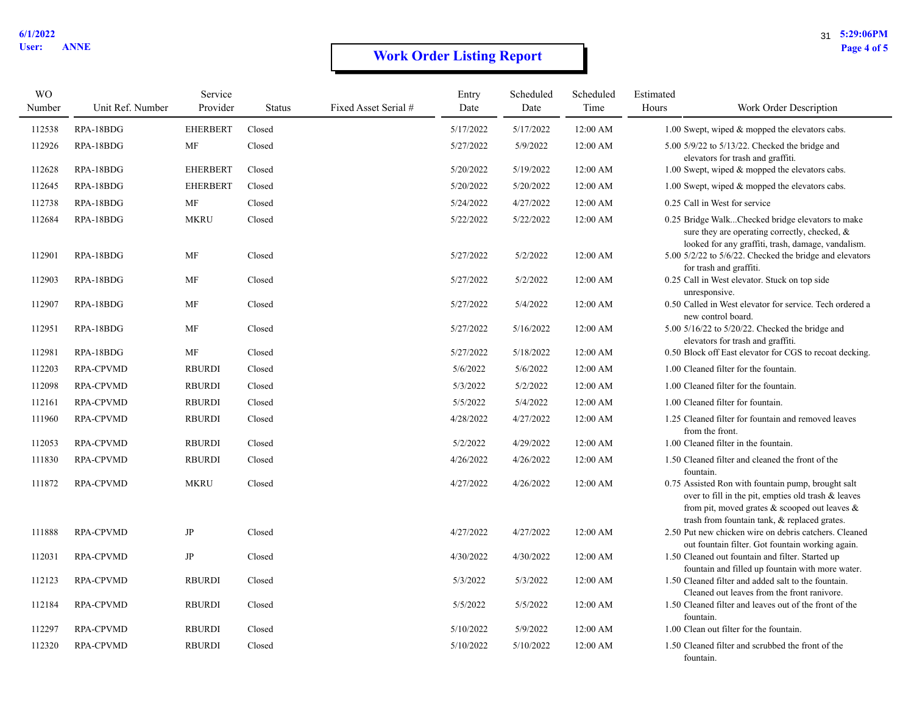# **Work Order Listing Report** Page 4 of 5

| <b>WO</b> |                  | Service         |               |                      | Entry     | Scheduled | Scheduled | Estimated |                                                                                                                                                                                                            |
|-----------|------------------|-----------------|---------------|----------------------|-----------|-----------|-----------|-----------|------------------------------------------------------------------------------------------------------------------------------------------------------------------------------------------------------------|
| Number    | Unit Ref. Number | Provider        | <b>Status</b> | Fixed Asset Serial # | Date      | Date      | Time      | Hours     | Work Order Description                                                                                                                                                                                     |
| 112538    | RPA-18BDG        | <b>EHERBERT</b> | Closed        |                      | 5/17/2022 | 5/17/2022 | 12:00 AM  |           | 1.00 Swept, wiped & mopped the elevators cabs.                                                                                                                                                             |
| 112926    | RPA-18BDG        | MF              | Closed        |                      | 5/27/2022 | 5/9/2022  | 12:00 AM  |           | $5.00$ $5/9/22$ to $5/13/22$ . Checked the bridge and<br>elevators for trash and graffiti.                                                                                                                 |
| 112628    | RPA-18BDG        | <b>EHERBERT</b> | Closed        |                      | 5/20/2022 | 5/19/2022 | 12:00 AM  |           | 1.00 Swept, wiped & mopped the elevators cabs.                                                                                                                                                             |
| 112645    | RPA-18BDG        | <b>EHERBERT</b> | Closed        |                      | 5/20/2022 | 5/20/2022 | 12:00 AM  |           | 1.00 Swept, wiped & mopped the elevators cabs.                                                                                                                                                             |
| 112738    | RPA-18BDG        | MF              | Closed        |                      | 5/24/2022 | 4/27/2022 | 12:00 AM  |           | 0.25 Call in West for service                                                                                                                                                                              |
| 112684    | RPA-18BDG        | <b>MKRU</b>     | Closed        |                      | 5/22/2022 | 5/22/2022 | 12:00 AM  |           | 0.25 Bridge WalkChecked bridge elevators to make<br>sure they are operating correctly, checked, &<br>looked for any graffiti, trash, damage, vandalism.                                                    |
| 112901    | RPA-18BDG        | MF              | Closed        |                      | 5/27/2022 | 5/2/2022  | 12:00 AM  |           | 5.00 5/2/22 to 5/6/22. Checked the bridge and elevators<br>for trash and graffiti.                                                                                                                         |
| 112903    | RPA-18BDG        | MF              | Closed        |                      | 5/27/2022 | 5/2/2022  | 12:00 AM  |           | 0.25 Call in West elevator. Stuck on top side<br>unresponsive.                                                                                                                                             |
| 112907    | RPA-18BDG        | MF              | Closed        |                      | 5/27/2022 | 5/4/2022  | 12:00 AM  |           | 0.50 Called in West elevator for service. Tech ordered a<br>new control board.                                                                                                                             |
| 112951    | RPA-18BDG        | MF              | Closed        |                      | 5/27/2022 | 5/16/2022 | 12:00 AM  |           | 5.00 5/16/22 to 5/20/22. Checked the bridge and<br>elevators for trash and graffiti.                                                                                                                       |
| 112981    | RPA-18BDG        | MF              | Closed        |                      | 5/27/2022 | 5/18/2022 | 12:00 AM  |           | 0.50 Block off East elevator for CGS to recoat decking.                                                                                                                                                    |
| 112203    | <b>RPA-CPVMD</b> | <b>RBURDI</b>   | Closed        |                      | 5/6/2022  | 5/6/2022  | 12:00 AM  |           | 1.00 Cleaned filter for the fountain.                                                                                                                                                                      |
| 112098    | <b>RPA-CPVMD</b> | <b>RBURDI</b>   | Closed        |                      | 5/3/2022  | 5/2/2022  | 12:00 AM  |           | 1.00 Cleaned filter for the fountain.                                                                                                                                                                      |
| 112161    | <b>RPA-CPVMD</b> | <b>RBURDI</b>   | Closed        |                      | 5/5/2022  | 5/4/2022  | 12:00 AM  |           | 1.00 Cleaned filter for fountain.                                                                                                                                                                          |
| 111960    | <b>RPA-CPVMD</b> | <b>RBURDI</b>   | Closed        |                      | 4/28/2022 | 4/27/2022 | 12:00 AM  |           | 1.25 Cleaned filter for fountain and removed leaves<br>from the front.                                                                                                                                     |
| 112053    | <b>RPA-CPVMD</b> | <b>RBURDI</b>   | Closed        |                      | 5/2/2022  | 4/29/2022 | 12:00 AM  |           | 1.00 Cleaned filter in the fountain.                                                                                                                                                                       |
| 111830    | <b>RPA-CPVMD</b> | <b>RBURDI</b>   | Closed        |                      | 4/26/2022 | 4/26/2022 | 12:00 AM  |           | 1.50 Cleaned filter and cleaned the front of the<br>fountain.                                                                                                                                              |
| 111872    | <b>RPA-CPVMD</b> | <b>MKRU</b>     | Closed        |                      | 4/27/2022 | 4/26/2022 | 12:00 AM  |           | 0.75 Assisted Ron with fountain pump, brought salt<br>over to fill in the pit, empties old trash & leaves<br>from pit, moved grates & scooped out leaves &<br>trash from fountain tank, & replaced grates. |
| 111888    | <b>RPA-CPVMD</b> | JP              | Closed        |                      | 4/27/2022 | 4/27/2022 | 12:00 AM  |           | 2.50 Put new chicken wire on debris catchers. Cleaned<br>out fountain filter. Got fountain working again.                                                                                                  |
| 112031    | <b>RPA-CPVMD</b> | JP              | Closed        |                      | 4/30/2022 | 4/30/2022 | 12:00 AM  |           | 1.50 Cleaned out fountain and filter. Started up<br>fountain and filled up fountain with more water.                                                                                                       |
| 112123    | <b>RPA-CPVMD</b> | <b>RBURDI</b>   | Closed        |                      | 5/3/2022  | 5/3/2022  | 12:00 AM  |           | 1.50 Cleaned filter and added salt to the fountain.<br>Cleaned out leaves from the front ranivore.                                                                                                         |
| 112184    | <b>RPA-CPVMD</b> | <b>RBURDI</b>   | Closed        |                      | 5/5/2022  | 5/5/2022  | 12:00 AM  |           | 1.50 Cleaned filter and leaves out of the front of the<br>fountain.                                                                                                                                        |
| 112297    | <b>RPA-CPVMD</b> | <b>RBURDI</b>   | Closed        |                      | 5/10/2022 | 5/9/2022  | 12:00 AM  |           | 1.00 Clean out filter for the fountain.                                                                                                                                                                    |
| 112320    | <b>RPA-CPVMD</b> | <b>RBURDI</b>   | Closed        |                      | 5/10/2022 | 5/10/2022 | 12:00 AM  |           | 1.50 Cleaned filter and scrubbed the front of the<br>fountain.                                                                                                                                             |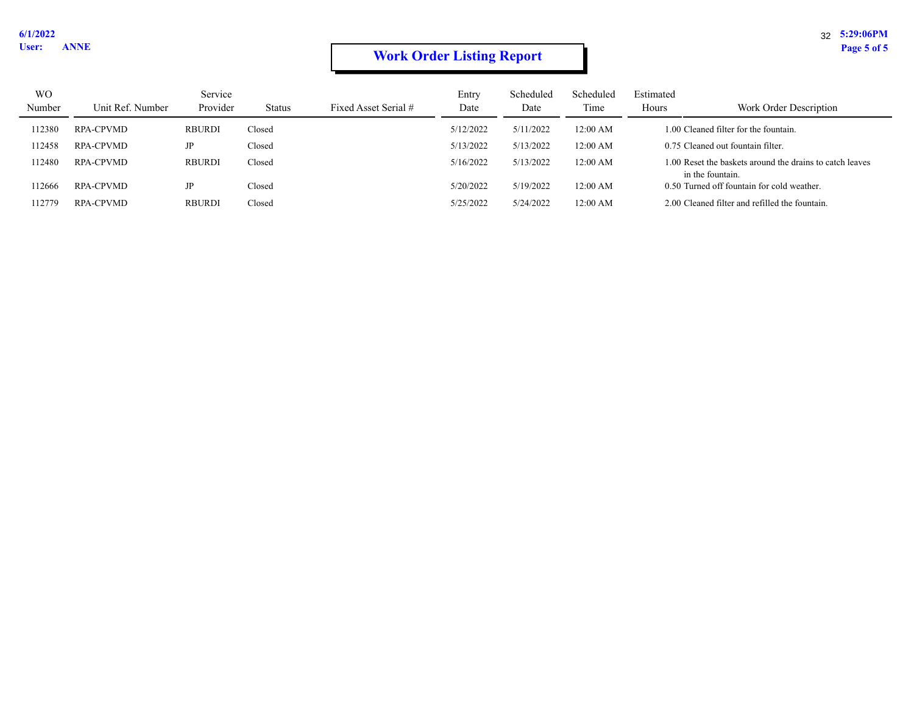# **Work Order Listing Report** Page 5 of 5

| <b>WO</b> |                  | Service       |        |                      | Entry     | Scheduled | Scheduled | Estimated |                                                                              |
|-----------|------------------|---------------|--------|----------------------|-----------|-----------|-----------|-----------|------------------------------------------------------------------------------|
| Number    | Unit Ref. Number | Provider      | Status | Fixed Asset Serial # | Date      | Date      | Time      | Hours     | Work Order Description                                                       |
| 112380    | <b>RPA-CPVMD</b> | <b>RBURDI</b> | Closed |                      | 5/12/2022 | 5/11/2022 | 12:00 AM  |           | 1.00 Cleaned filter for the fountain.                                        |
| 112458    | <b>RPA-CPVMD</b> | JP            | Closed |                      | 5/13/2022 | 5/13/2022 | 12:00 AM  |           | 0.75 Cleaned out fountain filter.                                            |
| 112480    | <b>RPA-CPVMD</b> | <b>RBURDI</b> | Closed |                      | 5/16/2022 | 5/13/2022 | 12:00 AM  |           | 1.00 Reset the baskets around the drains to catch leaves<br>in the fountain. |
| 112666    | RPA-CPVMD        | JP            | Closed |                      | 5/20/2022 | 5/19/2022 | 12:00 AM  |           | 0.50 Turned off fountain for cold weather.                                   |
| 112779    | <b>RPA-CPVMD</b> | <b>RBURDI</b> | Closed |                      | 5/25/2022 | 5/24/2022 | 12:00 AM  |           | 2.00 Cleaned filter and refilled the fountain.                               |